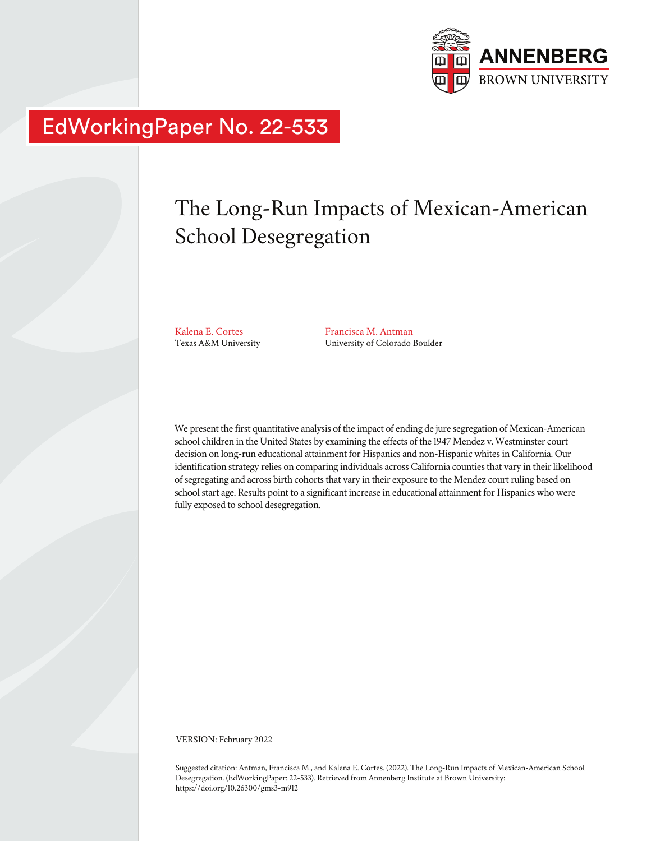

## EdWorkingPaper No. 22-533

# The Long-Run Impacts of Mexican-American School Desegregation

Kalena E. Cortes Texas A&M University

Francisca M. Antman University of Colorado Boulder

We present the first quantitative analysis of the impact of ending de jure segregation of Mexican-American school children in the United States by examining the effects of the 1947 Mendez v. Westminster court decision on long-run educational attainment for Hispanics and non-Hispanic whites in California. Our identification strategy relies on comparing individuals across California counties that vary in their likelihood of segregating and across birth cohorts that vary in their exposure to the Mendez court ruling based on school start age. Results point to a significant increase in educational attainment for Hispanics who were fully exposed to school desegregation.

VERSION: February 2022

Suggested citation: Antman, Francisca M., and Kalena E. Cortes. (2022). The Long-Run Impacts of Mexican-American School Desegregation. (EdWorkingPaper: 22-533). Retrieved from Annenberg Institute at Brown University: https://doi.org/10.26300/gms3-m912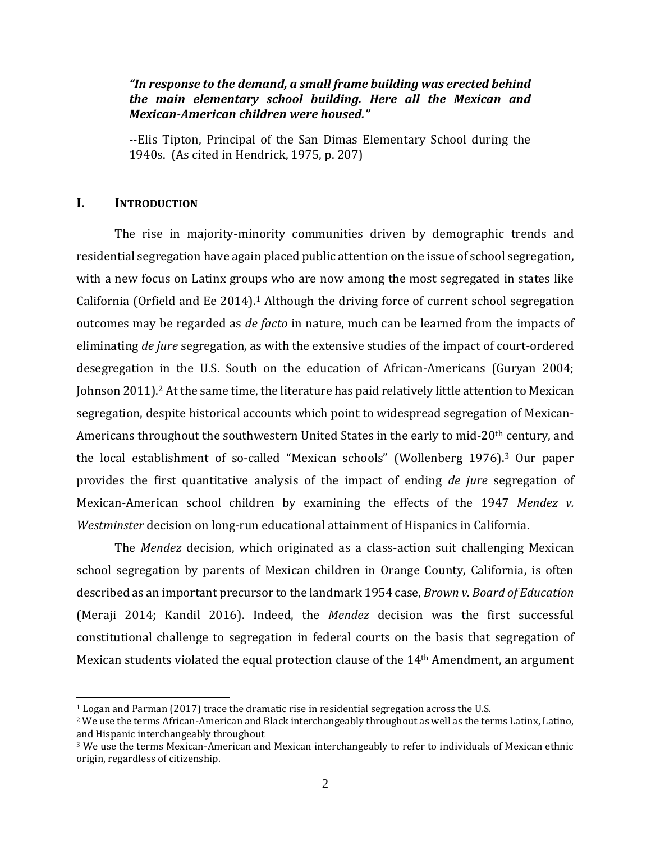## *"In response to the demand, a small frame building was erected behind the main elementary school building. Here all the Mexican and Mexican-American children were housed."*

--Elis Tipton, Principal of the San Dimas Elementary School during the 1940s. (As cited in Hendrick, 1975, p. 207)

## **I. INTRODUCTION**

The rise in majority-minority communities driven by demographic trends and residential segregation have again placed public attention on the issue of school segregation, with a new focus on Latinx groups who are now among the most segregated in states like California (Orfield and Ee 2014). <sup>1</sup> Although the driving force of current school segregation outcomes may be regarded as *de facto* in nature, much can be learned from the impacts of eliminating *de jure* segregation, as with the extensive studies of the impact of court-ordered desegregation in the U.S. South on the education of African-Americans (Guryan 2004; Johnson 2011). <sup>2</sup> At the same time, the literature has paid relatively little attention to Mexican segregation, despite historical accounts which point to widespread segregation of Mexican-Americans throughout the southwestern United States in the early to mid-20<sup>th</sup> century, and the local establishment of so-called "Mexican schools" (Wollenberg 1976).<sup>3</sup> Our paper provides the first quantitative analysis of the impact of ending *de jure* segregation of Mexican-American school children by examining the effects of the 1947 *Mendez v. Westminster* decision on long-run educational attainment of Hispanics in California.

The *Mendez* decision, which originated as a class-action suit challenging Mexican school segregation by parents of Mexican children in Orange County, California, is often described as an important precursor to the landmark 1954 case, *Brown v. Board of Education*  (Meraji 2014; Kandil 2016). Indeed, the *Mendez* decision was the first successful constitutional challenge to segregation in federal courts on the basis that segregation of Mexican students violated the equal protection clause of the 14th Amendment, an argument

<sup>1</sup> Logan and Parman (2017) trace the dramatic rise in residential segregation across the U.S.

<sup>2</sup> We use the terms African-American and Black interchangeably throughout as well as the terms Latinx, Latino, and Hispanic interchangeably throughout

<sup>3</sup> We use the terms Mexican-American and Mexican interchangeably to refer to individuals of Mexican ethnic origin, regardless of citizenship.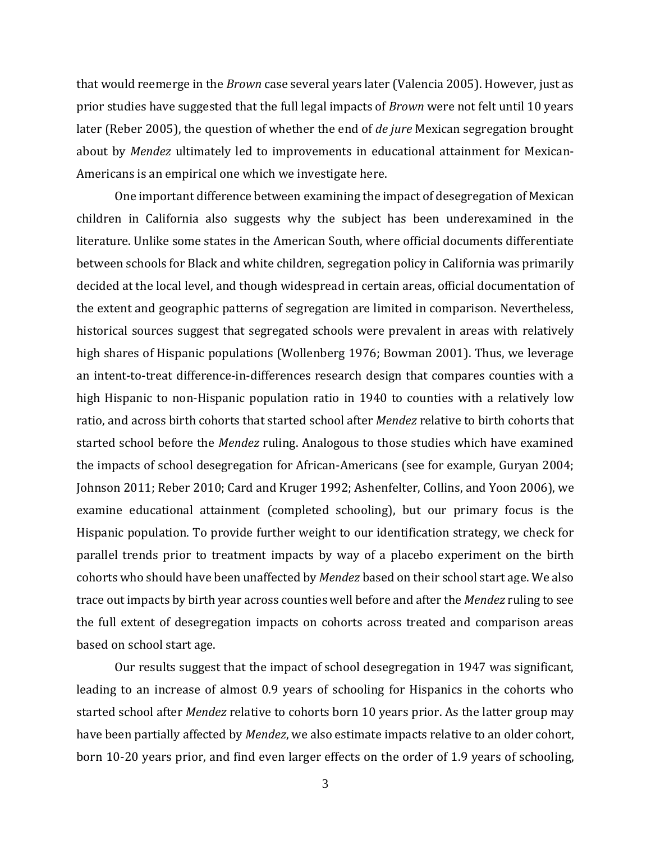that would reemerge in the *Brown* case several years later (Valencia 2005). However, just as prior studies have suggested that the full legal impacts of *Brown* were not felt until 10 years later (Reber 2005), the question of whether the end of *de jure* Mexican segregation brought about by *Mendez* ultimately led to improvements in educational attainment for Mexican-Americans is an empirical one which we investigate here.

One important difference between examining the impact of desegregation of Mexican children in California also suggests why the subject has been underexamined in the literature. Unlike some states in the American South, where official documents differentiate between schools for Black and white children, segregation policy in California was primarily decided at the local level, and though widespread in certain areas, official documentation of the extent and geographic patterns of segregation are limited in comparison. Nevertheless, historical sources suggest that segregated schools were prevalent in areas with relatively high shares of Hispanic populations (Wollenberg 1976; Bowman 2001). Thus, we leverage an intent-to-treat difference-in-differences research design that compares counties with a high Hispanic to non-Hispanic population ratio in 1940 to counties with a relatively low ratio, and across birth cohorts that started school after *Mendez* relative to birth cohorts that started school before the *Mendez* ruling. Analogous to those studies which have examined the impacts of school desegregation for African-Americans (see for example, Guryan 2004; Johnson 2011; Reber 2010; Card and Kruger 1992; Ashenfelter, Collins, and Yoon 2006), we examine educational attainment (completed schooling), but our primary focus is the Hispanic population. To provide further weight to our identification strategy, we check for parallel trends prior to treatment impacts by way of a placebo experiment on the birth cohorts who should have been unaffected by *Mendez* based on their school start age. We also trace out impacts by birth year across counties well before and after the *Mendez* ruling to see the full extent of desegregation impacts on cohorts across treated and comparison areas based on school start age.

Our results suggest that the impact of school desegregation in 1947 was significant, leading to an increase of almost 0.9 years of schooling for Hispanics in the cohorts who started school after *Mendez* relative to cohorts born 10 years prior. As the latter group may have been partially affected by *Mendez*, we also estimate impacts relative to an older cohort, born 10-20 years prior, and find even larger effects on the order of 1.9 years of schooling,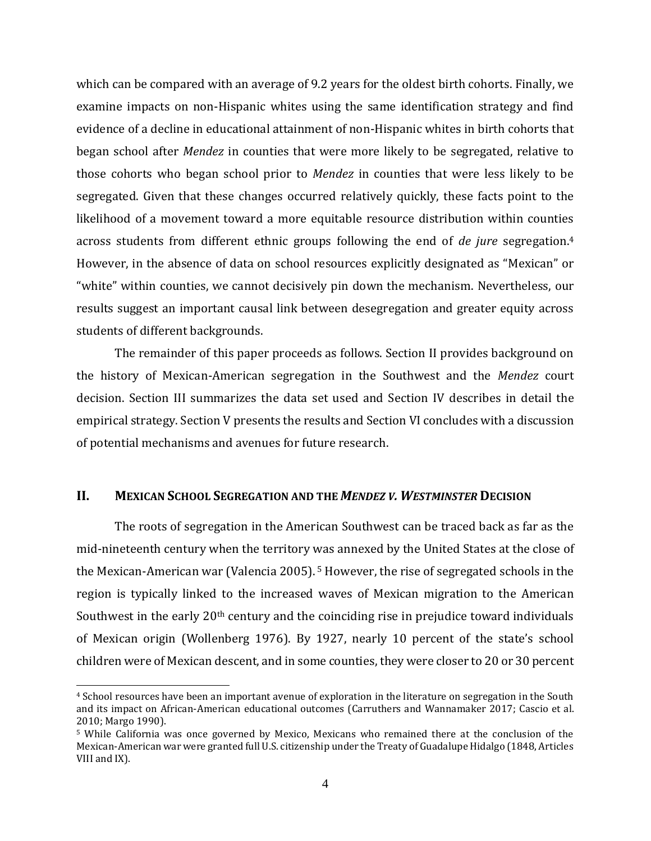which can be compared with an average of 9.2 years for the oldest birth cohorts. Finally, we examine impacts on non-Hispanic whites using the same identification strategy and find evidence of a decline in educational attainment of non-Hispanic whites in birth cohorts that began school after *Mendez* in counties that were more likely to be segregated, relative to those cohorts who began school prior to *Mendez* in counties that were less likely to be segregated. Given that these changes occurred relatively quickly, these facts point to the likelihood of a movement toward a more equitable resource distribution within counties across students from different ethnic groups following the end of *de jure* segregation. 4 However, in the absence of data on school resources explicitly designated as "Mexican" or "white" within counties, we cannot decisively pin down the mechanism. Nevertheless, our results suggest an important causal link between desegregation and greater equity across students of different backgrounds.

The remainder of this paper proceeds as follows. Section II provides background on the history of Mexican-American segregation in the Southwest and the *Mendez* court decision. Section III summarizes the data set used and Section IV describes in detail the empirical strategy. Section V presents the results and Section VI concludes with a discussion of potential mechanisms and avenues for future research.

## **II. MEXICAN SCHOOL SEGREGATION AND THE** *MENDEZ V. WESTMINSTER* **DECISION**

The roots of segregation in the American Southwest can be traced back as far as the mid-nineteenth century when the territory was annexed by the United States at the close of the Mexican-American war (Valencia 2005). <sup>5</sup> However, the rise of segregated schools in the region is typically linked to the increased waves of Mexican migration to the American Southwest in the early 20<sup>th</sup> century and the coinciding rise in prejudice toward individuals of Mexican origin (Wollenberg 1976). By 1927, nearly 10 percent of the state's school children were of Mexican descent, and in some counties, they were closer to 20 or 30 percent

<sup>4</sup> School resources have been an important avenue of exploration in the literature on segregation in the South and its impact on African-American educational outcomes (Carruthers and Wannamaker 2017; Cascio et al. 2010; Margo 1990).

<sup>5</sup> While California was once governed by Mexico, Mexicans who remained there at the conclusion of the Mexican-American war were granted full U.S. citizenship under the Treaty of Guadalupe Hidalgo (1848, Articles VIII and IX).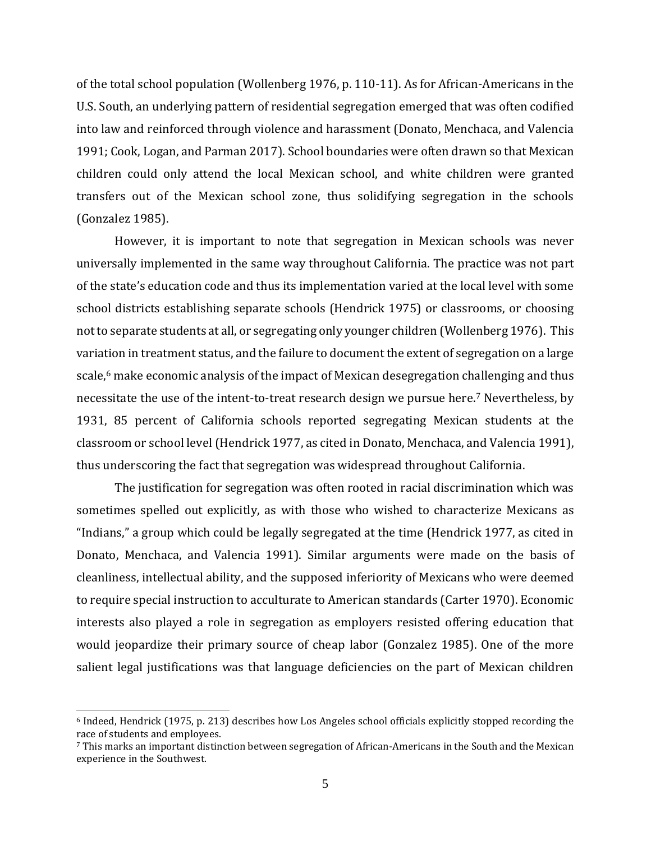of the total school population (Wollenberg 1976, p. 110-11). As for African-Americans in the U.S. South, an underlying pattern of residential segregation emerged that was often codified into law and reinforced through violence and harassment (Donato, Menchaca, and Valencia 1991; Cook, Logan, and Parman 2017). School boundaries were often drawn so that Mexican children could only attend the local Mexican school, and white children were granted transfers out of the Mexican school zone, thus solidifying segregation in the schools (Gonzalez 1985).

However, it is important to note that segregation in Mexican schools was never universally implemented in the same way throughout California. The practice was not part of the state's education code and thus its implementation varied at the local level with some school districts establishing separate schools (Hendrick 1975) or classrooms, or choosing not to separate students at all, or segregating only younger children (Wollenberg 1976). This variation in treatment status, and the failure to document the extent of segregation on a large scale,<sup>6</sup> make economic analysis of the impact of Mexican desegregation challenging and thus necessitate the use of the intent-to-treat research design we pursue here. <sup>7</sup> Nevertheless, by 1931, 85 percent of California schools reported segregating Mexican students at the classroom or school level (Hendrick 1977, as cited in Donato, Menchaca, and Valencia 1991), thus underscoring the fact that segregation was widespread throughout California.

The justification for segregation was often rooted in racial discrimination which was sometimes spelled out explicitly, as with those who wished to characterize Mexicans as "Indians," a group which could be legally segregated at the time (Hendrick 1977, as cited in Donato, Menchaca, and Valencia 1991). Similar arguments were made on the basis of cleanliness, intellectual ability, and the supposed inferiority of Mexicans who were deemed to require special instruction to acculturate to American standards (Carter 1970). Economic interests also played a role in segregation as employers resisted offering education that would jeopardize their primary source of cheap labor (Gonzalez 1985). One of the more salient legal justifications was that language deficiencies on the part of Mexican children

<sup>6</sup> Indeed, Hendrick (1975, p. 213) describes how Los Angeles school officials explicitly stopped recording the race of students and employees.

<sup>7</sup> This marks an important distinction between segregation of African-Americans in the South and the Mexican experience in the Southwest.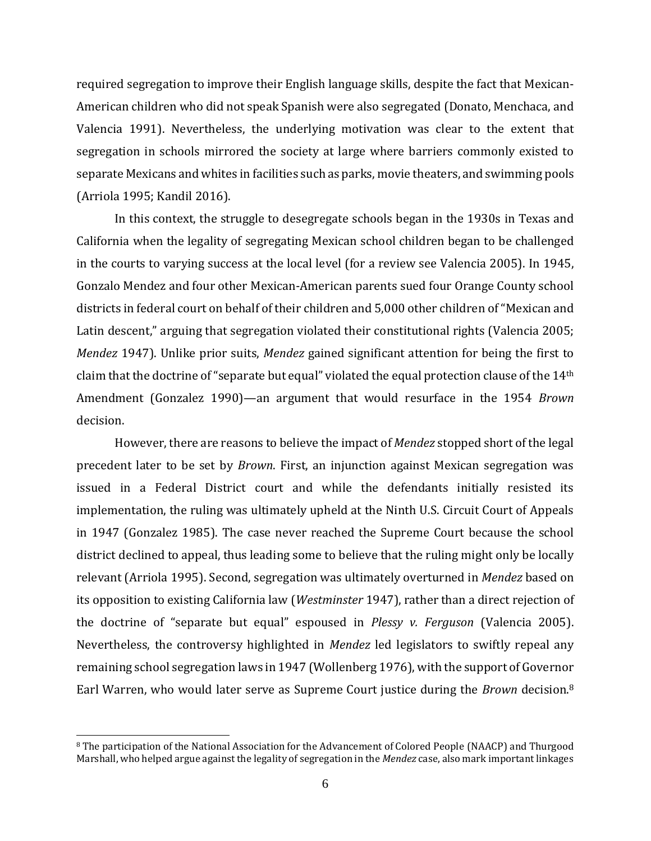required segregation to improve their English language skills, despite the fact that Mexican-American children who did not speak Spanish were also segregated (Donato, Menchaca, and Valencia 1991). Nevertheless, the underlying motivation was clear to the extent that segregation in schools mirrored the society at large where barriers commonly existed to separate Mexicans and whites in facilities such as parks, movie theaters, and swimming pools (Arriola 1995; Kandil 2016).

In this context, the struggle to desegregate schools began in the 1930s in Texas and California when the legality of segregating Mexican school children began to be challenged in the courts to varying success at the local level (for a review see Valencia 2005). In 1945, Gonzalo Mendez and four other Mexican-American parents sued four Orange County school districts in federal court on behalf of their children and 5,000 other children of "Mexican and Latin descent," arguing that segregation violated their constitutional rights (Valencia 2005; *Mendez* 1947). Unlike prior suits, *Mendez* gained significant attention for being the first to claim that the doctrine of "separate but equal" violated the equal protection clause of the 14th Amendment (Gonzalez 1990)—an argument that would resurface in the 1954 *Brown* decision.

However, there are reasons to believe the impact of *Mendez* stopped short of the legal precedent later to be set by *Brown*. First, an injunction against Mexican segregation was issued in a Federal District court and while the defendants initially resisted its implementation, the ruling was ultimately upheld at the Ninth U.S. Circuit Court of Appeals in 1947 (Gonzalez 1985). The case never reached the Supreme Court because the school district declined to appeal, thus leading some to believe that the ruling might only be locally relevant (Arriola 1995). Second, segregation was ultimately overturned in *Mendez* based on its opposition to existing California law (*Westminster* 1947), rather than a direct rejection of the doctrine of "separate but equal" espoused in *Plessy v. Ferguson* (Valencia 2005). Nevertheless, the controversy highlighted in *Mendez* led legislators to swiftly repeal any remaining school segregation laws in 1947 (Wollenberg 1976), with the support of Governor Earl Warren, who would later serve as Supreme Court justice during the *Brown* decision.<sup>8</sup>

<sup>8</sup> The participation of the National Association for the Advancement of Colored People (NAACP) and Thurgood Marshall, who helped argue against the legality of segregation in the *Mendez* case, also mark important linkages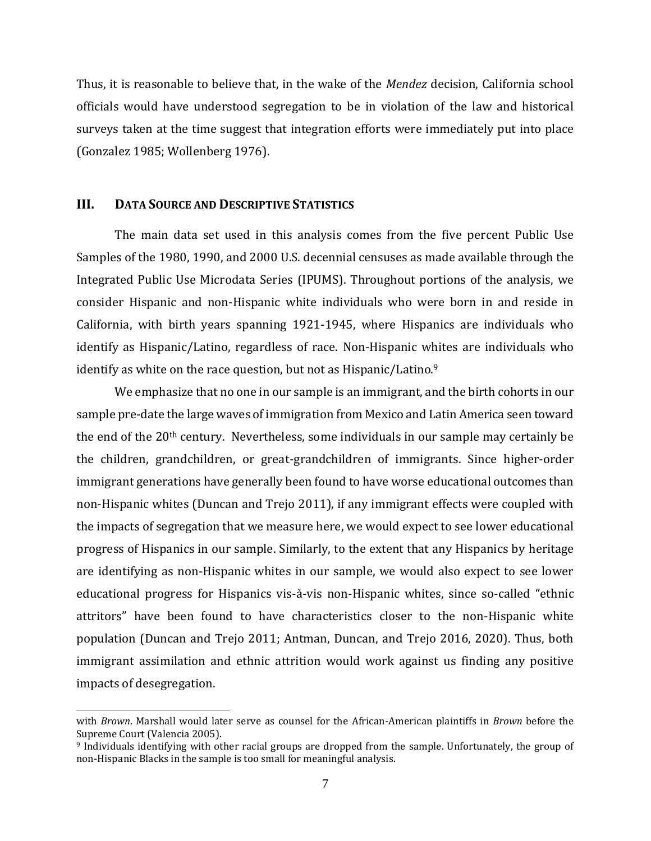Thus, it is reasonable to believe that, in the wake of the *Mendez* decision, California school officials would have understood segregation to be in violation of the law and historical surveys taken at the time suggest that integration efforts were immediately put into place (Gonzalez 1985; Wollenberg 1976).

### **III. DATA SOURCE AND DESCRIPTIVE STATISTICS**

The main data set used in this analysis comes from the five percent Public Use Samples of the 1980, 1990, and 2000 U.S. decennial censuses as made available through the Integrated Public Use Microdata Series (IPUMS). Throughout portions of the analysis, we consider Hispanic and non-Hispanic white individuals who were born in and reside in California, with birth years spanning 1921-1945, where Hispanics are individuals who identify as Hispanic/Latino, regardless of race. Non-Hispanic whites are individuals who identify as white on the race question, but not as Hispanic/Latino.<sup>9</sup>

We emphasize that no one in our sample is an immigrant, and the birth cohorts in our sample pre-date the large waves of immigration from Mexico and Latin America seen toward the end of the 20th century. Nevertheless, some individuals in our sample may certainly be the children, grandchildren, or great-grandchildren of immigrants. Since higher-order immigrant generations have generally been found to have worse educational outcomes than non-Hispanic whites (Duncan and Trejo 2011), if any immigrant effects were coupled with the impacts of segregation that we measure here, we would expect to see lower educational progress of Hispanics in our sample. Similarly, to the extent that any Hispanics by heritage are identifying as non-Hispanic whites in our sample, we would also expect to see lower educational progress for Hispanics vis-à-vis non-Hispanic whites, since so-called "ethnic attritors" have been found to have characteristics closer to the non-Hispanic white population (Duncan and Trejo 2011; Antman, Duncan, and Trejo 2016, 2020). Thus, both immigrant assimilation and ethnic attrition would work against us finding any positive impacts of desegregation.

with *Brown*. Marshall would later serve as counsel for the African-American plaintiffs in *Brown* before the Supreme Court (Valencia 2005).

<sup>9</sup> Individuals identifying with other racial groups are dropped from the sample. Unfortunately, the group of non-Hispanic Blacks in the sample is too small for meaningful analysis.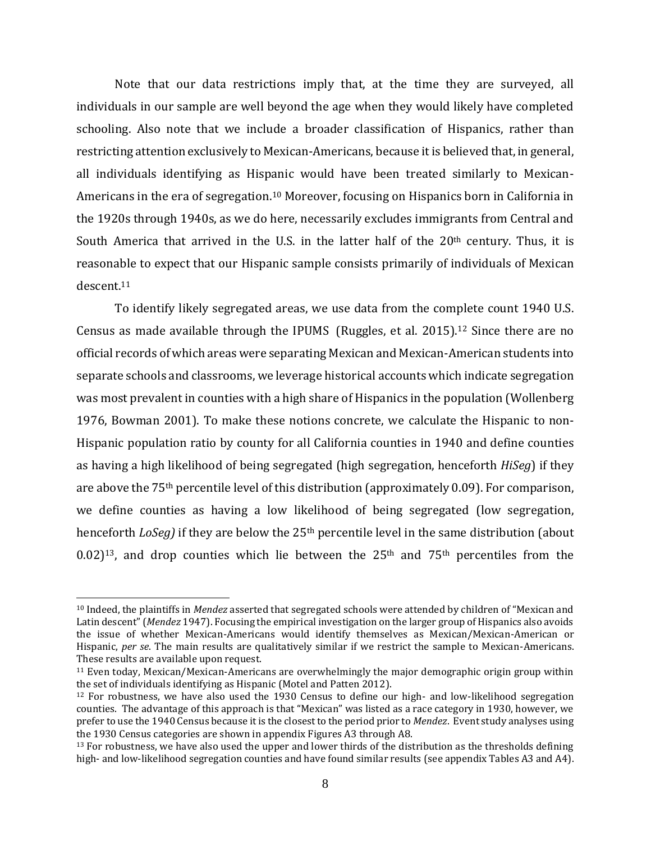Note that our data restrictions imply that, at the time they are surveyed, all individuals in our sample are well beyond the age when they would likely have completed schooling. Also note that we include a broader classification of Hispanics, rather than restricting attention exclusively to Mexican-Americans, because it is believed that, in general, all individuals identifying as Hispanic would have been treated similarly to Mexican-Americans in the era of segregation.<sup>10</sup> Moreover, focusing on Hispanics born in California in the 1920s through 1940s, as we do here, necessarily excludes immigrants from Central and South America that arrived in the U.S. in the latter half of the  $20<sup>th</sup>$  century. Thus, it is reasonable to expect that our Hispanic sample consists primarily of individuals of Mexican descent.<sup>11</sup>

To identify likely segregated areas, we use data from the complete count 1940 U.S. Census as made available through the IPUMS (Ruggles, et al. 2015).<sup>12</sup> Since there are no official records of which areas were separating Mexican and Mexican-American students into separate schools and classrooms, we leverage historical accounts which indicate segregation was most prevalent in counties with a high share of Hispanics in the population (Wollenberg 1976, Bowman 2001). To make these notions concrete, we calculate the Hispanic to non-Hispanic population ratio by county for all California counties in 1940 and define counties as having a high likelihood of being segregated (high segregation, henceforth *HiSeg*) if they are above the 75th percentile level of this distribution (approximately 0.09). For comparison, we define counties as having a low likelihood of being segregated (low segregation, henceforth *LoSeg*) if they are below the 25<sup>th</sup> percentile level in the same distribution (about  $0.02$ )<sup>13</sup>, and drop counties which lie between the 25<sup>th</sup> and 75<sup>th</sup> percentiles from the

<sup>10</sup> Indeed, the plaintiffs in *Mendez* asserted that segregated schools were attended by children of "Mexican and Latin descent" (*Mendez* 1947). Focusing the empirical investigation on the larger group of Hispanics also avoids the issue of whether Mexican-Americans would identify themselves as Mexican/Mexican-American or Hispanic, *per se*. The main results are qualitatively similar if we restrict the sample to Mexican-Americans. These results are available upon request.

<sup>11</sup> Even today, Mexican/Mexican-Americans are overwhelmingly the major demographic origin group within the set of individuals identifying as Hispanic (Motel and Patten 2012).

 $12$  For robustness, we have also used the 1930 Census to define our high- and low-likelihood segregation counties. The advantage of this approach is that "Mexican" was listed as a race category in 1930, however, we prefer to use the 1940 Census because it is the closest to the period prior to *Mendez*. Event study analyses using the 1930 Census categories are shown in appendix Figures A3 through A8.

 $13$  For robustness, we have also used the upper and lower thirds of the distribution as the thresholds defining high- and low-likelihood segregation counties and have found similar results (see appendix Tables A3 and A4).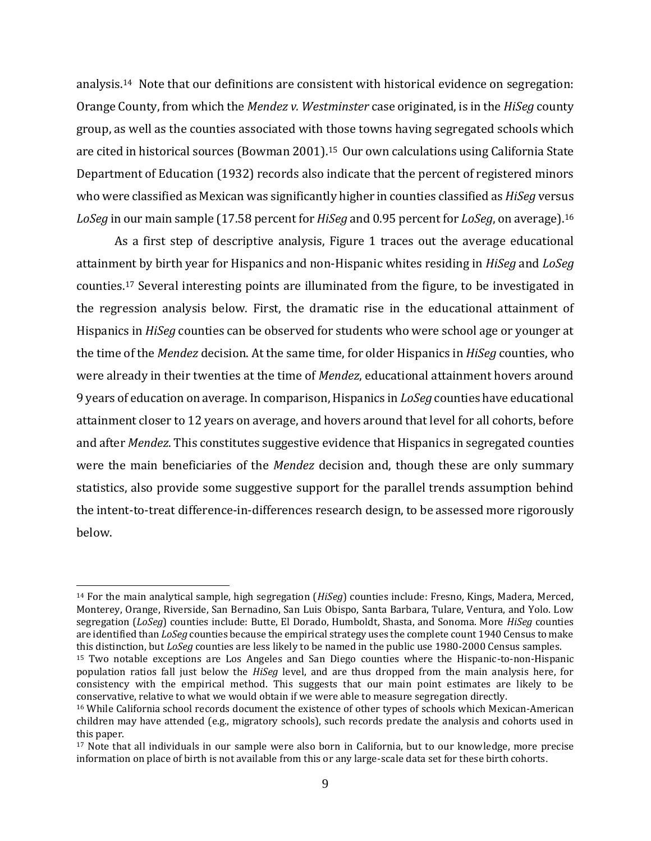analysis. <sup>14</sup> Note that our definitions are consistent with historical evidence on segregation: Orange County, from which the *Mendez v. Westminster* case originated, is in the *HiSeg* county group, as well as the counties associated with those towns having segregated schools which are cited in historical sources (Bowman 2001).<sup>15</sup> Our own calculations using California State Department of Education (1932) records also indicate that the percent of registered minors who were classified as Mexican was significantly higher in counties classified as *HiSeg* versus *LoSeg* in our main sample (17.58 percent for *HiSeg* and 0.95 percent for *LoSeg*, on average).<sup>16</sup>

As a first step of descriptive analysis, Figure 1 traces out the average educational attainment by birth year for Hispanics and non-Hispanic whites residing in *HiSeg* and *LoSeg* counties.<sup>17</sup> Several interesting points are illuminated from the figure, to be investigated in the regression analysis below. First, the dramatic rise in the educational attainment of Hispanics in *HiSeg* counties can be observed for students who were school age or younger at the time of the *Mendez* decision. At the same time, for older Hispanics in *HiSeg* counties, who were already in their twenties at the time of *Mendez*, educational attainment hovers around 9 years of education on average. In comparison, Hispanics in *LoSeg* counties have educational attainment closer to 12 years on average, and hovers around that level for all cohorts, before and after *Mendez*. This constitutes suggestive evidence that Hispanics in segregated counties were the main beneficiaries of the *Mendez* decision and, though these are only summary statistics, also provide some suggestive support for the parallel trends assumption behind the intent-to-treat difference-in-differences research design, to be assessed more rigorously below.

<sup>14</sup> For the main analytical sample, high segregation (*HiSeg*) counties include: Fresno, Kings, Madera, Merced, Monterey, Orange, Riverside, San Bernadino, San Luis Obispo, Santa Barbara, Tulare, Ventura, and Yolo. Low segregation (*LoSeg*) counties include: Butte, El Dorado, Humboldt, Shasta, and Sonoma. More *HiSeg* counties are identified than *LoSeg* counties because the empirical strategy uses the complete count 1940 Census to make this distinction, but *LoSeg* counties are less likely to be named in the public use 1980-2000 Census samples.

<sup>15</sup> Two notable exceptions are Los Angeles and San Diego counties where the Hispanic-to-non-Hispanic population ratios fall just below the *HiSeg* level, and are thus dropped from the main analysis here, for consistency with the empirical method. This suggests that our main point estimates are likely to be conservative, relative to what we would obtain if we were able to measure segregation directly.

<sup>16</sup> While California school records document the existence of other types of schools which Mexican-American children may have attended (e.g., migratory schools), such records predate the analysis and cohorts used in this paper.

<sup>17</sup> Note that all individuals in our sample were also born in California, but to our knowledge, more precise information on place of birth is not available from this or any large-scale data set for these birth cohorts.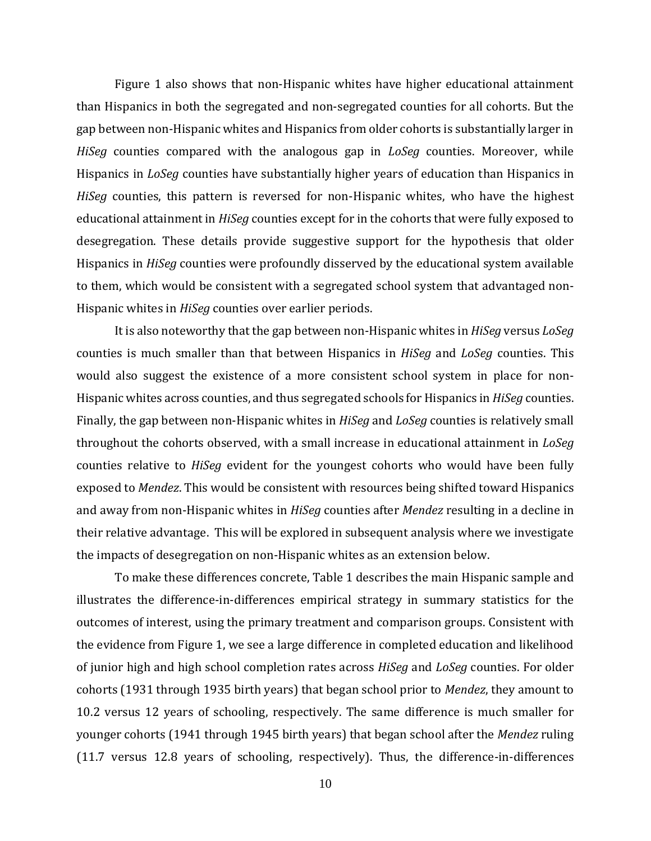Figure 1 also shows that non-Hispanic whites have higher educational attainment than Hispanics in both the segregated and non-segregated counties for all cohorts. But the gap between non-Hispanic whites and Hispanics from older cohorts is substantially larger in *HiSeg* counties compared with the analogous gap in *LoSeg* counties. Moreover, while Hispanics in *LoSeg* counties have substantially higher years of education than Hispanics in *HiSeg* counties, this pattern is reversed for non-Hispanic whites, who have the highest educational attainment in *HiSeg* counties except for in the cohorts that were fully exposed to desegregation. These details provide suggestive support for the hypothesis that older Hispanics in *HiSeg* counties were profoundly disserved by the educational system available to them, which would be consistent with a segregated school system that advantaged non-Hispanic whites in *HiSeg* counties over earlier periods.

It is also noteworthy that the gap between non-Hispanic whites in *HiSeg* versus *LoSeg* counties is much smaller than that between Hispanics in *HiSeg* and *LoSeg* counties. This would also suggest the existence of a more consistent school system in place for non-Hispanic whites across counties, and thus segregated schools for Hispanics in *HiSeg* counties. Finally, the gap between non-Hispanic whites in *HiSeg* and *LoSeg* counties is relatively small throughout the cohorts observed, with a small increase in educational attainment in *LoSeg*  counties relative to *HiSeg* evident for the youngest cohorts who would have been fully exposed to *Mendez*. This would be consistent with resources being shifted toward Hispanics and away from non-Hispanic whites in *HiSeg* counties after *Mendez* resulting in a decline in their relative advantage. This will be explored in subsequent analysis where we investigate the impacts of desegregation on non-Hispanic whites as an extension below.

To make these differences concrete, Table 1 describes the main Hispanic sample and illustrates the difference-in-differences empirical strategy in summary statistics for the outcomes of interest, using the primary treatment and comparison groups. Consistent with the evidence from Figure 1, we see a large difference in completed education and likelihood of junior high and high school completion rates across *HiSeg* and *LoSeg* counties. For older cohorts (1931 through 1935 birth years) that began school prior to *Mendez*, they amount to 10.2 versus 12 years of schooling, respectively. The same difference is much smaller for younger cohorts (1941 through 1945 birth years) that began school after the *Mendez* ruling (11.7 versus 12.8 years of schooling, respectively). Thus, the difference-in-differences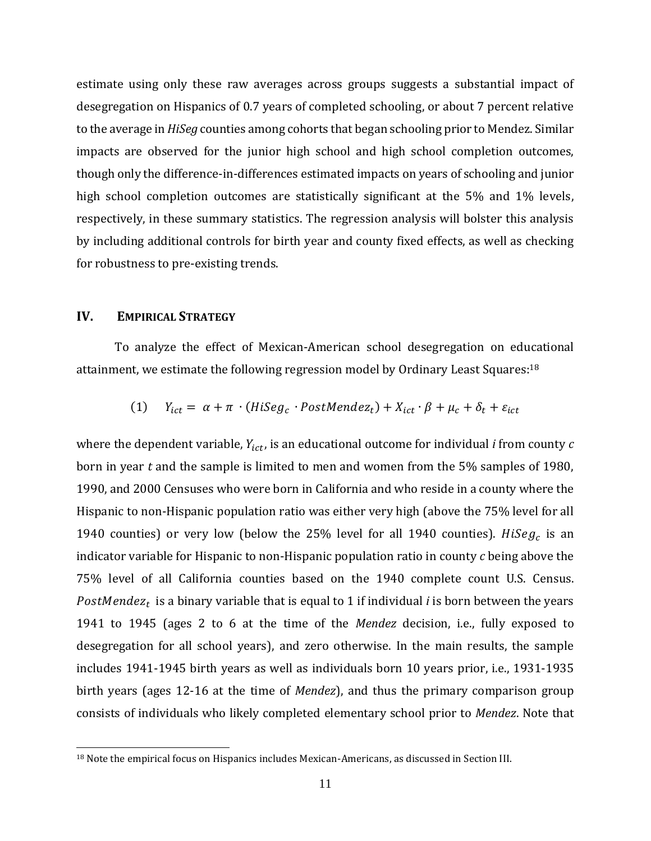estimate using only these raw averages across groups suggests a substantial impact of desegregation on Hispanics of 0.7 years of completed schooling, or about 7 percent relative to the average in *HiSeg* counties among cohorts that began schooling prior to Mendez. Similar impacts are observed for the junior high school and high school completion outcomes, though only the difference-in-differences estimated impacts on years of schooling and junior high school completion outcomes are statistically significant at the 5% and 1% levels, respectively, in these summary statistics. The regression analysis will bolster this analysis by including additional controls for birth year and county fixed effects, as well as checking for robustness to pre-existing trends.

## **IV. EMPIRICAL STRATEGY**

To analyze the effect of Mexican-American school desegregation on educational attainment, we estimate the following regression model by Ordinary Least Squares:<sup>18</sup>

(1) 
$$
Y_{ict} = \alpha + \pi \cdot (HiSeg_c \cdot PostMendez_t) + X_{ict} \cdot \beta + \mu_c + \delta_t + \varepsilon_{ict}
$$

where the dependent variable,  $Y_{ict}$ , is an educational outcome for individual *i* from county  $c$ born in year *t* and the sample is limited to men and women from the 5% samples of 1980, 1990, and 2000 Censuses who were born in California and who reside in a county where the Hispanic to non-Hispanic population ratio was either very high (above the 75% level for all 1940 counties) or very low (below the 25% level for all 1940 counties).  $HiSeg_c$  is an indicator variable for Hispanic to non-Hispanic population ratio in county *c* being above the 75% level of all California counties based on the 1940 complete count U.S. Census.  $PostMendez_t$  is a binary variable that is equal to 1 if individual *i* is born between the years 1941 to 1945 (ages 2 to 6 at the time of the *Mendez* decision, i.e., fully exposed to desegregation for all school years), and zero otherwise. In the main results, the sample includes 1941-1945 birth years as well as individuals born 10 years prior, i.e., 1931-1935 birth years (ages 12-16 at the time of *Mendez*), and thus the primary comparison group consists of individuals who likely completed elementary school prior to *Mendez*. Note that

<sup>&</sup>lt;sup>18</sup> Note the empirical focus on Hispanics includes Mexican-Americans, as discussed in Section III.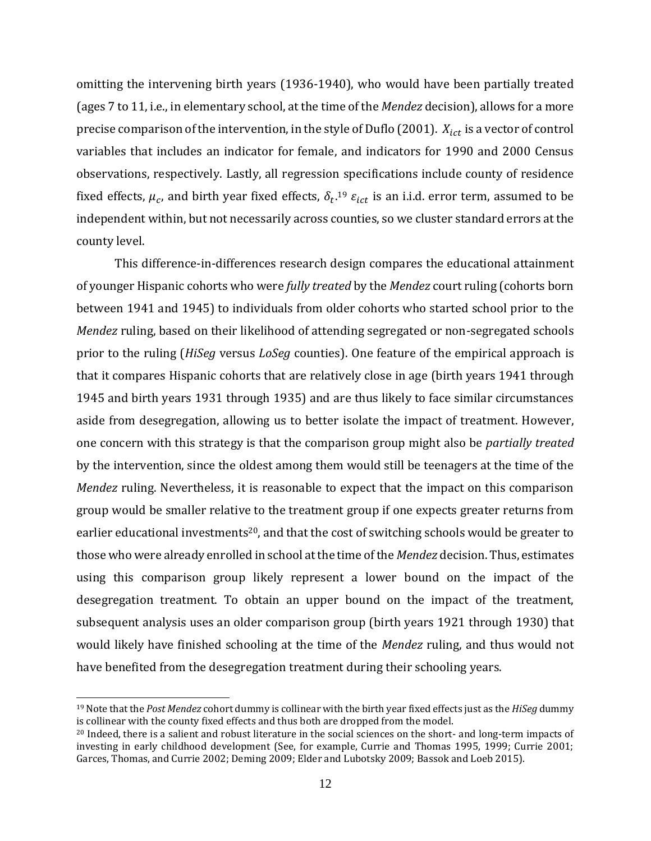omitting the intervening birth years (1936-1940), who would have been partially treated (ages 7 to 11, i.e., in elementary school, at the time of the *Mendez* decision), allows for a more precise comparison of the intervention, in the style of Duflo (2001).  $X_{ict}$  is a vector of control variables that includes an indicator for female, and indicators for 1990 and 2000 Census observations, respectively. Lastly, all regression specifications include county of residence fixed effects,  $\mu_c$ , and birth year fixed effects,  $\delta_t$ .<sup>19</sup>  $\varepsilon_{ict}$  is an i.i.d. error term, assumed to be independent within, but not necessarily across counties, so we cluster standard errors at the county level.

This difference-in-differences research design compares the educational attainment of younger Hispanic cohorts who were *fully treated* by the *Mendez* court ruling (cohorts born between 1941 and 1945) to individuals from older cohorts who started school prior to the *Mendez* ruling, based on their likelihood of attending segregated or non-segregated schools prior to the ruling (*HiSeg* versus *LoSeg* counties). One feature of the empirical approach is that it compares Hispanic cohorts that are relatively close in age (birth years 1941 through 1945 and birth years 1931 through 1935) and are thus likely to face similar circumstances aside from desegregation, allowing us to better isolate the impact of treatment. However, one concern with this strategy is that the comparison group might also be *partially treated* by the intervention, since the oldest among them would still be teenagers at the time of the *Mendez* ruling. Nevertheless, it is reasonable to expect that the impact on this comparison group would be smaller relative to the treatment group if one expects greater returns from earlier educational investments<sup>20</sup>, and that the cost of switching schools would be greater to those who were already enrolled in school at the time of the *Mendez* decision. Thus, estimates using this comparison group likely represent a lower bound on the impact of the desegregation treatment. To obtain an upper bound on the impact of the treatment, subsequent analysis uses an older comparison group (birth years 1921 through 1930) that would likely have finished schooling at the time of the *Mendez* ruling, and thus would not have benefited from the desegregation treatment during their schooling years.

<sup>19</sup> Note that the *Post Mendez* cohort dummy is collinear with the birth year fixed effects just as the *HiSeg* dummy is collinear with the county fixed effects and thus both are dropped from the model.

<sup>&</sup>lt;sup>20</sup> Indeed, there is a salient and robust literature in the social sciences on the short- and long-term impacts of investing in early childhood development (See, for example, Currie and Thomas 1995, 1999; Currie 2001; Garces, Thomas, and Currie 2002; Deming 2009; Elder and Lubotsky 2009; Bassok and Loeb 2015).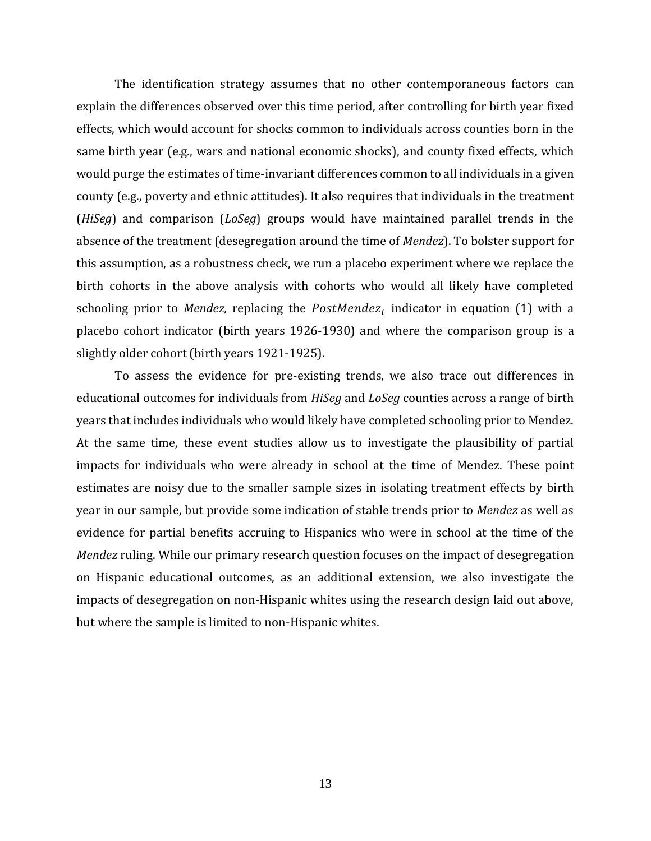The identification strategy assumes that no other contemporaneous factors can explain the differences observed over this time period, after controlling for birth year fixed effects, which would account for shocks common to individuals across counties born in the same birth year (e.g., wars and national economic shocks), and county fixed effects, which would purge the estimates of time-invariant differences common to all individuals in a given county (e.g., poverty and ethnic attitudes). It also requires that individuals in the treatment (*HiSeg*) and comparison (*LoSeg*) groups would have maintained parallel trends in the absence of the treatment (desegregation around the time of *Mendez*). To bolster support for this assumption, as a robustness check, we run a placebo experiment where we replace the birth cohorts in the above analysis with cohorts who would all likely have completed schooling prior to *Mendez,* replacing the  $PostMendez_t$  indicator in equation (1) with a placebo cohort indicator (birth years 1926-1930) and where the comparison group is a slightly older cohort (birth years 1921-1925).

To assess the evidence for pre-existing trends, we also trace out differences in educational outcomes for individuals from *HiSeg* and *LoSeg* counties across a range of birth years that includes individuals who would likely have completed schooling prior to Mendez. At the same time, these event studies allow us to investigate the plausibility of partial impacts for individuals who were already in school at the time of Mendez. These point estimates are noisy due to the smaller sample sizes in isolating treatment effects by birth year in our sample, but provide some indication of stable trends prior to *Mendez* as well as evidence for partial benefits accruing to Hispanics who were in school at the time of the *Mendez* ruling. While our primary research question focuses on the impact of desegregation on Hispanic educational outcomes, as an additional extension, we also investigate the impacts of desegregation on non-Hispanic whites using the research design laid out above, but where the sample is limited to non-Hispanic whites.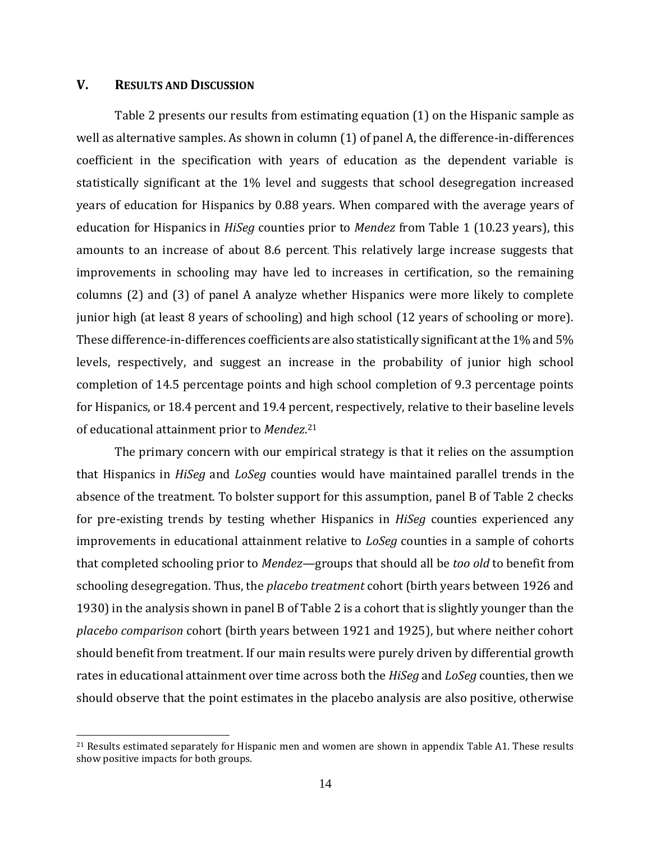#### **V. RESULTS AND DISCUSSION**

Table 2 presents our results from estimating equation (1) on the Hispanic sample as well as alternative samples. As shown in column (1) of panel A, the difference-in-differences coefficient in the specification with years of education as the dependent variable is statistically significant at the 1% level and suggests that school desegregation increased years of education for Hispanics by 0.88 years. When compared with the average years of education for Hispanics in *HiSeg* counties prior to *Mendez* from Table 1 (10.23 years), this amounts to an increase of about 8.6 percent. This relatively large increase suggests that improvements in schooling may have led to increases in certification, so the remaining columns (2) and (3) of panel A analyze whether Hispanics were more likely to complete junior high (at least 8 years of schooling) and high school (12 years of schooling or more). These difference-in-differences coefficients are also statistically significant at the 1% and 5% levels, respectively, and suggest an increase in the probability of junior high school completion of 14.5 percentage points and high school completion of 9.3 percentage points for Hispanics, or 18.4 percent and 19.4 percent, respectively, relative to their baseline levels of educational attainment prior to *Mendez*. 21

The primary concern with our empirical strategy is that it relies on the assumption that Hispanics in *HiSeg* and *LoSeg* counties would have maintained parallel trends in the absence of the treatment. To bolster support for this assumption, panel B of Table 2 checks for pre-existing trends by testing whether Hispanics in *HiSeg* counties experienced any improvements in educational attainment relative to *LoSeg* counties in a sample of cohorts that completed schooling prior to *Mendez*—groups that should all be *too old* to benefit from schooling desegregation. Thus, the *placebo treatment* cohort (birth years between 1926 and 1930) in the analysis shown in panel B of Table 2 is a cohort that is slightly younger than the *placebo comparison* cohort (birth years between 1921 and 1925), but where neither cohort should benefit from treatment. If our main results were purely driven by differential growth rates in educational attainment over time across both the *HiSeg* and *LoSeg* counties, then we should observe that the point estimates in the placebo analysis are also positive, otherwise

<sup>&</sup>lt;sup>21</sup> Results estimated separately for Hispanic men and women are shown in appendix Table A1. These results show positive impacts for both groups.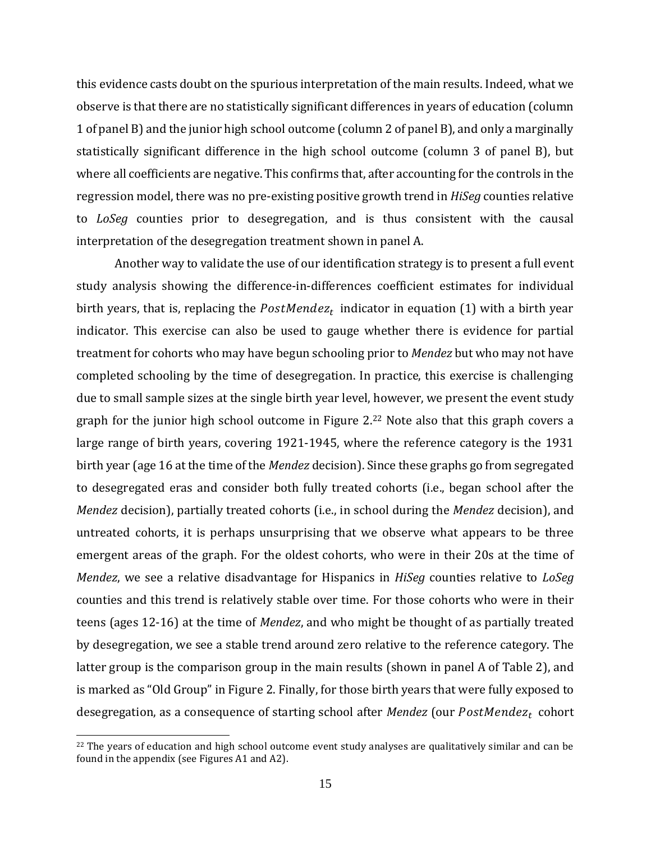this evidence casts doubt on the spurious interpretation of the main results. Indeed, what we observe is that there are no statistically significant differences in years of education (column 1 of panel B) and the junior high school outcome (column 2 of panel B), and only a marginally statistically significant difference in the high school outcome (column 3 of panel B), but where all coefficients are negative. This confirms that, after accounting for the controls in the regression model, there was no pre-existing positive growth trend in *HiSeg* counties relative to *LoSeg* counties prior to desegregation, and is thus consistent with the causal interpretation of the desegregation treatment shown in panel A.

Another way to validate the use of our identification strategy is to present a full event study analysis showing the difference-in-differences coefficient estimates for individual birth years, that is, replacing the  $PostMendez_t$  indicator in equation (1) with a birth year indicator. This exercise can also be used to gauge whether there is evidence for partial treatment for cohorts who may have begun schooling prior to *Mendez* but who may not have completed schooling by the time of desegregation. In practice, this exercise is challenging due to small sample sizes at the single birth year level, however, we present the event study graph for the junior high school outcome in Figure 2. <sup>22</sup> Note also that this graph covers a large range of birth years, covering 1921-1945, where the reference category is the 1931 birth year (age 16 at the time of the *Mendez* decision). Since these graphs go from segregated to desegregated eras and consider both fully treated cohorts (i.e., began school after the *Mendez* decision), partially treated cohorts (i.e., in school during the *Mendez* decision), and untreated cohorts, it is perhaps unsurprising that we observe what appears to be three emergent areas of the graph. For the oldest cohorts, who were in their 20s at the time of *Mendez*, we see a relative disadvantage for Hispanics in *HiSeg* counties relative to *LoSeg* counties and this trend is relatively stable over time. For those cohorts who were in their teens (ages 12-16) at the time of *Mendez*, and who might be thought of as partially treated by desegregation, we see a stable trend around zero relative to the reference category. The latter group is the comparison group in the main results (shown in panel A of Table 2), and is marked as "Old Group" in Figure 2. Finally, for those birth years that were fully exposed to desegregation, as a consequence of starting school after *Mendez* (our PostMendez<sub>t</sub> cohort

<sup>&</sup>lt;sup>22</sup> The years of education and high school outcome event study analyses are qualitatively similar and can be found in the appendix (see Figures A1 and A2).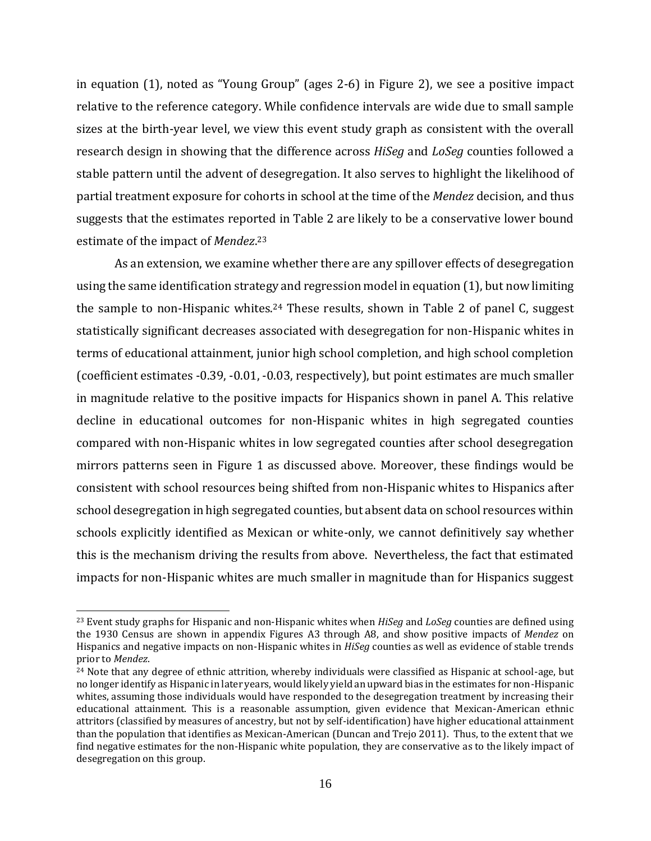in equation (1), noted as "Young Group" (ages 2-6) in Figure 2), we see a positive impact relative to the reference category. While confidence intervals are wide due to small sample sizes at the birth-year level, we view this event study graph as consistent with the overall research design in showing that the difference across *HiSeg* and *LoSeg* counties followed a stable pattern until the advent of desegregation. It also serves to highlight the likelihood of partial treatment exposure for cohorts in school at the time of the *Mendez* decision, and thus suggests that the estimates reported in Table 2 are likely to be a conservative lower bound estimate of the impact of *Mendez*. 23

As an extension, we examine whether there are any spillover effects of desegregation using the same identification strategy and regression model in equation (1), but now limiting the sample to non-Hispanic whites.<sup>24</sup> These results, shown in Table 2 of panel C, suggest statistically significant decreases associated with desegregation for non-Hispanic whites in terms of educational attainment, junior high school completion, and high school completion (coefficient estimates -0.39, -0.01, -0.03, respectively), but point estimates are much smaller in magnitude relative to the positive impacts for Hispanics shown in panel A. This relative decline in educational outcomes for non-Hispanic whites in high segregated counties compared with non-Hispanic whites in low segregated counties after school desegregation mirrors patterns seen in Figure 1 as discussed above. Moreover, these findings would be consistent with school resources being shifted from non-Hispanic whites to Hispanics after school desegregation in high segregated counties, but absent data on school resources within schools explicitly identified as Mexican or white-only, we cannot definitively say whether this is the mechanism driving the results from above. Nevertheless, the fact that estimated impacts for non-Hispanic whites are much smaller in magnitude than for Hispanics suggest

<sup>23</sup> Event study graphs for Hispanic and non-Hispanic whites when *HiSeg* and *LoSeg* counties are defined using the 1930 Census are shown in appendix Figures A3 through A8, and show positive impacts of *Mendez* on Hispanics and negative impacts on non-Hispanic whites in *HiSeg* counties as well as evidence of stable trends prior to *Mendez*.

<sup>24</sup> Note that any degree of ethnic attrition, whereby individuals were classified as Hispanic at school-age, but no longer identify as Hispanic in later years, would likely yield an upward bias in the estimates for non-Hispanic whites, assuming those individuals would have responded to the desegregation treatment by increasing their educational attainment. This is a reasonable assumption, given evidence that Mexican-American ethnic attritors (classified by measures of ancestry, but not by self-identification) have higher educational attainment than the population that identifies as Mexican-American (Duncan and Trejo 2011). Thus, to the extent that we find negative estimates for the non-Hispanic white population, they are conservative as to the likely impact of desegregation on this group.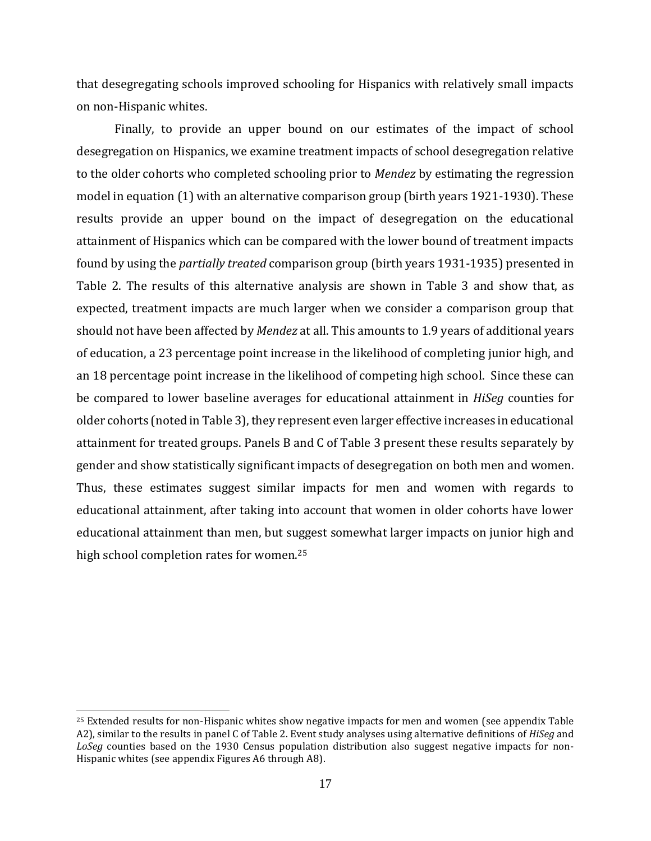that desegregating schools improved schooling for Hispanics with relatively small impacts on non-Hispanic whites.

Finally, to provide an upper bound on our estimates of the impact of school desegregation on Hispanics, we examine treatment impacts of school desegregation relative to the older cohorts who completed schooling prior to *Mendez* by estimating the regression model in equation (1) with an alternative comparison group (birth years 1921-1930). These results provide an upper bound on the impact of desegregation on the educational attainment of Hispanics which can be compared with the lower bound of treatment impacts found by using the *partially treated* comparison group (birth years 1931-1935) presented in Table 2. The results of this alternative analysis are shown in Table 3 and show that, as expected, treatment impacts are much larger when we consider a comparison group that should not have been affected by *Mendez* at all. This amounts to 1.9 years of additional years of education, a 23 percentage point increase in the likelihood of completing junior high, and an 18 percentage point increase in the likelihood of competing high school. Since these can be compared to lower baseline averages for educational attainment in *HiSeg* counties for older cohorts (noted in Table 3), they represent even larger effective increases in educational attainment for treated groups. Panels B and C of Table 3 present these results separately by gender and show statistically significant impacts of desegregation on both men and women. Thus, these estimates suggest similar impacts for men and women with regards to educational attainment, after taking into account that women in older cohorts have lower educational attainment than men, but suggest somewhat larger impacts on junior high and high school completion rates for women.<sup>25</sup>

<sup>25</sup> Extended results for non-Hispanic whites show negative impacts for men and women (see appendix Table A2), similar to the results in panel C of Table 2. Event study analyses using alternative definitions of *HiSeg* and *LoSeg* counties based on the 1930 Census population distribution also suggest negative impacts for non-Hispanic whites (see appendix Figures A6 through A8).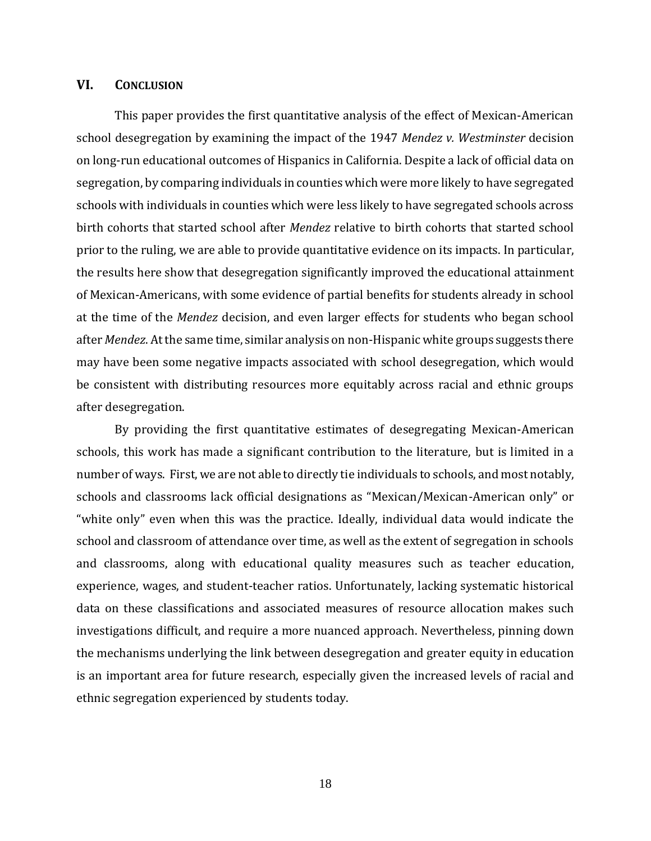#### **VI. CONCLUSION**

This paper provides the first quantitative analysis of the effect of Mexican-American school desegregation by examining the impact of the 1947 *Mendez v. Westminster* decision on long-run educational outcomes of Hispanics in California. Despite a lack of official data on segregation, by comparing individuals in counties which were more likely to have segregated schools with individuals in counties which were less likely to have segregated schools across birth cohorts that started school after *Mendez* relative to birth cohorts that started school prior to the ruling, we are able to provide quantitative evidence on its impacts. In particular, the results here show that desegregation significantly improved the educational attainment of Mexican-Americans, with some evidence of partial benefits for students already in school at the time of the *Mendez* decision, and even larger effects for students who began school after *Mendez*. At the same time, similar analysis on non-Hispanic white groups suggests there may have been some negative impacts associated with school desegregation, which would be consistent with distributing resources more equitably across racial and ethnic groups after desegregation.

By providing the first quantitative estimates of desegregating Mexican-American schools, this work has made a significant contribution to the literature, but is limited in a number of ways. First, we are not able to directly tie individuals to schools, and most notably, schools and classrooms lack official designations as "Mexican/Mexican-American only" or "white only" even when this was the practice. Ideally, individual data would indicate the school and classroom of attendance over time, as well as the extent of segregation in schools and classrooms, along with educational quality measures such as teacher education, experience, wages, and student-teacher ratios. Unfortunately, lacking systematic historical data on these classifications and associated measures of resource allocation makes such investigations difficult, and require a more nuanced approach. Nevertheless, pinning down the mechanisms underlying the link between desegregation and greater equity in education is an important area for future research, especially given the increased levels of racial and ethnic segregation experienced by students today.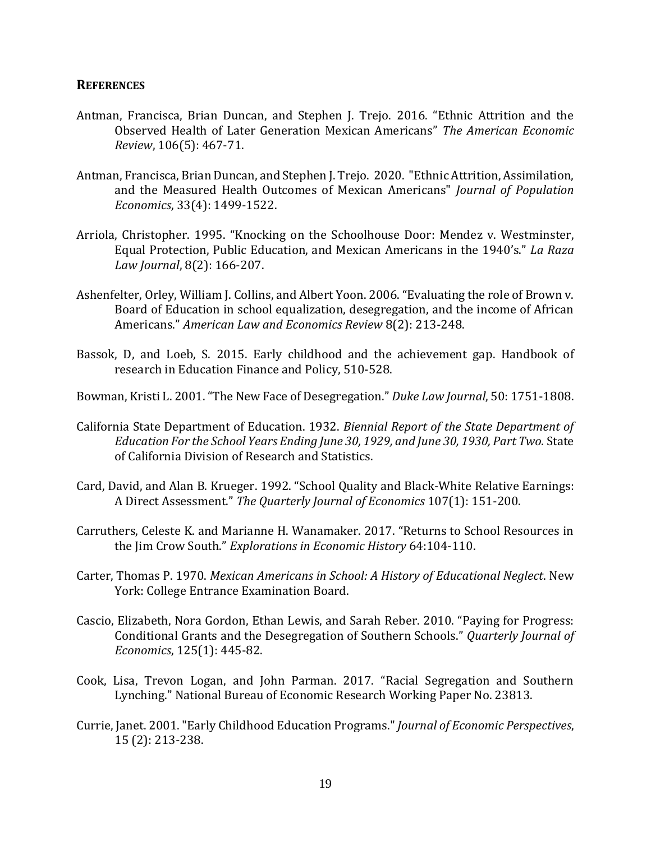#### **REFERENCES**

- Antman, Francisca, Brian Duncan, and Stephen J. Trejo. 2016. "Ethnic Attrition and the Observed Health of Later Generation Mexican Americans" *The American Economic Review*, 106(5): 467-71.
- Antman, Francisca, Brian Duncan, and Stephen J. Trejo. 2020. "Ethnic Attrition, Assimilation, and the Measured Health Outcomes of Mexican Americans" *Journal of Population Economics*, 33(4): 1499-1522.
- Arriola, Christopher. 1995. "Knocking on the Schoolhouse Door: Mendez v. Westminster, Equal Protection, Public Education, and Mexican Americans in the 1940's." *La Raza Law Journal*, 8(2): 166-207.
- Ashenfelter, Orley, William J. Collins, and Albert Yoon. 2006. "Evaluating the role of Brown v. Board of Education in school equalization, desegregation, and the income of African Americans." *American Law and Economics Review* 8(2): 213-248.
- Bassok, D, and Loeb, S. 2015. [Early childhood and the achievement gap.](javascript:void(0)) Handbook of research in Education Finance and Policy, 510-528.
- Bowman, Kristi L. 2001. "The New Face of Desegregation." *Duke Law Journal*, 50: 1751-1808.
- California State Department of Education. 1932. *Biennial Report of the State Department of Education For the School Years Ending June 30, 1929, and June 30, 1930, Part Two.* State of California Division of Research and Statistics.
- Card, David, and Alan B. Krueger. 1992. "School Quality and Black-White Relative Earnings: A Direct Assessment." *The Quarterly Journal of Economics* 107(1): 151-200.
- Carruthers, Celeste K. and Marianne H. Wanamaker. 2017. "Returns to School Resources in the Jim Crow South." *Explorations in Economic History* 64:104-110.
- Carter, Thomas P. 1970. *Mexican Americans in School: A History of Educational Neglect*. New York: College Entrance Examination Board.
- Cascio, Elizabeth, Nora Gordon, Ethan Lewis, and Sarah Reber. 2010. "Paying for Progress: Conditional Grants and the Desegregation of Southern Schools." *Quarterly Journal of Economics*, 125(1): 445-82.
- Cook, Lisa, Trevon Logan, and John Parman. 2017. "Racial Segregation and Southern Lynching." National Bureau of Economic Research Working Paper No. 23813.
- Currie, Janet. 2001."Early Childhood Education Programs."*Journal of Economic Perspectives*, 15 (2): 213-238.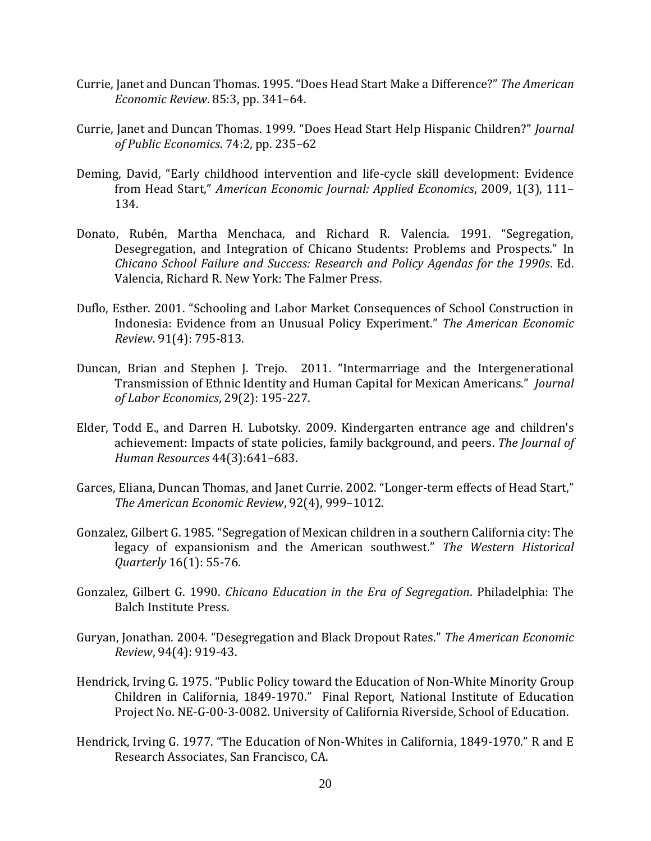- Currie, Janet and Duncan Thomas. 1995. "Does Head Start Make a Difference?" *The American Economic Review*. 85:3, pp. 341–64.
- Currie, Janet and Duncan Thomas. 1999. "Does Head Start Help Hispanic Children?" *Journal of Public Economics*. 74:2, pp. 235–62
- Deming, David, "Early childhood intervention and life-cycle skill development: Evidence from Head Start," *American Economic Journal: Applied Economics*, 2009, 1(3), 111– 134.
- Donato, Rubén, Martha Menchaca, and Richard R. Valencia. 1991. "Segregation, Desegregation, and Integration of Chicano Students: Problems and Prospects." In *Chicano School Failure and Success: Research and Policy Agendas for the 1990s*. Ed. Valencia, Richard R. New York: The Falmer Press.
- Duflo, Esther. 2001. "Schooling and Labor Market Consequences of School Construction in Indonesia: Evidence from an Unusual Policy Experiment." *The American Economic Review*. 91(4): 795-813.
- Duncan, Brian and Stephen J. Trejo. 2011. "Intermarriage and the Intergenerational Transmission of Ethnic Identity and Human Capital for Mexican Americans." *Journal of Labor Economics*, 29(2): 195-227.
- Elder, Todd E., and Darren H. Lubotsky. 2009. Kindergarten entrance age and children's achievement: Impacts of state policies, family background, and peers. *The Journal of Human Resources* 44(3):641–683.
- Garces, Eliana, Duncan Thomas, and Janet Currie. 2002. "Longer-term effects of Head Start," *The American Economic Review*, 92(4), 999–1012.
- Gonzalez, Gilbert G. 1985. "Segregation of Mexican children in a southern California city: The legacy of expansionism and the American southwest." *The Western Historical Quarterly* 16(1): 55-76.
- Gonzalez, Gilbert G. 1990. *Chicano Education in the Era of Segregation*. Philadelphia: The Balch Institute Press.
- Guryan, Jonathan. 2004. "Desegregation and Black Dropout Rates." *The American Economic Review*, 94(4): 919-43.
- Hendrick, Irving G. 1975. "Public Policy toward the Education of Non-White Minority Group Children in California, 1849-1970." Final Report, National Institute of Education Project No. NE-G-00-3-0082. University of California Riverside, School of Education.
- Hendrick, Irving G. 1977. "The Education of Non-Whites in California, 1849-1970." R and E Research Associates, San Francisco, CA.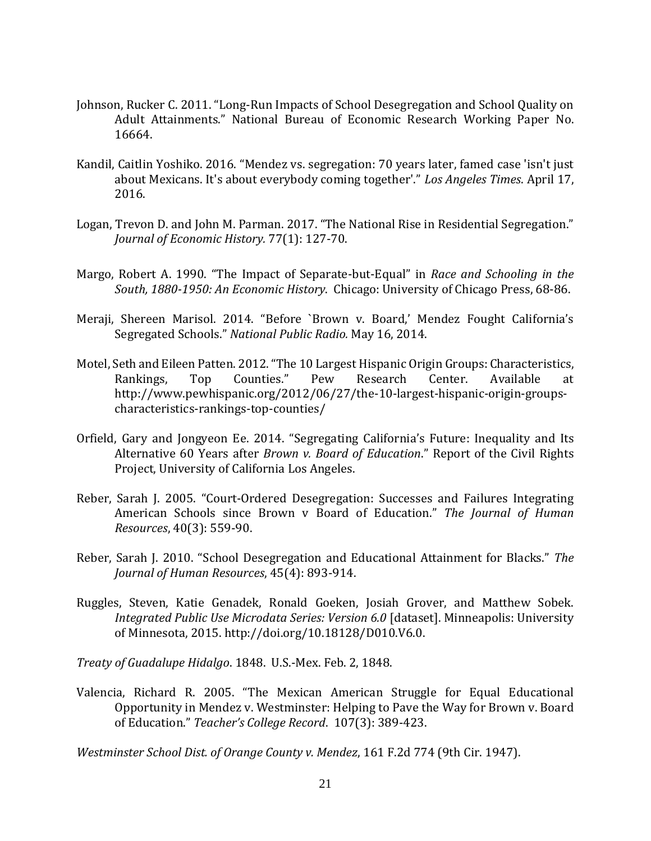- Johnson, Rucker C. 2011. "Long-Run Impacts of School Desegregation and School Quality on Adult Attainments." National Bureau of Economic Research Working Paper No. 16664.
- Kandil, Caitlin Yoshiko. 2016. "Mendez vs. segregation: 70 years later, famed case 'isn't just about Mexicans. It's about everybody coming together'." *Los Angeles Times*. April 17, 2016.
- Logan, Trevon D. and John M. Parman. 2017. "The National Rise in Residential Segregation." *Journal of Economic History.* 77(1): 127-70.
- Margo, Robert A. 1990. "The Impact of Separate-but-Equal" in *Race and Schooling in the South, 1880-1950: An Economic History*. Chicago: University of Chicago Press, 68-86.
- Meraji, Shereen Marisol. 2014. "Before `Brown v. Board,' Mendez Fought California's Segregated Schools." *National Public Radio.* May 16, 2014.
- Motel, Seth and Eileen Patten. 2012. "The 10 Largest Hispanic Origin Groups: Characteristics, Rankings, Top Counties." Pew Research Center. Available at http://www.pewhispanic.org/2012/06/27/the-10-largest-hispanic-origin-groupscharacteristics-rankings-top-counties/
- Orfield, Gary and Jongyeon Ee. 2014. "Segregating California's Future: Inequality and Its Alternative 60 Years after *Brown v. Board of Education*." Report of the Civil Rights Project, University of California Los Angeles.
- Reber, Sarah J. 2005. "Court-Ordered Desegregation: Successes and Failures Integrating American Schools since Brown v Board of Education." *The Journal of Human Resources*, 40(3): 559-90.
- Reber, Sarah J. 2010. "School Desegregation and Educational Attainment for Blacks." *The Journal of Human Resources*, 45(4): 893-914.
- Ruggles, Steven, Katie Genadek, Ronald Goeken, Josiah Grover, and Matthew Sobek. *Integrated Public Use Microdata Series: Version 6.0* [dataset]. Minneapolis: University of Minnesota, 2015. http://doi.org/10.18128/D010.V6.0.

*Treaty of Guadalupe Hidalgo*. 1848. U.S.-Mex. Feb. 2, 1848.

Valencia, Richard R. 2005. "The Mexican American Struggle for Equal Educational Opportunity in Mendez v. Westminster: Helping to Pave the Way for Brown v. Board of Education." *Teacher's College Record*. 107(3): 389-423.

*Westminster School Dist. of Orange County v. Mendez*, 161 F.2d 774 (9th Cir. 1947).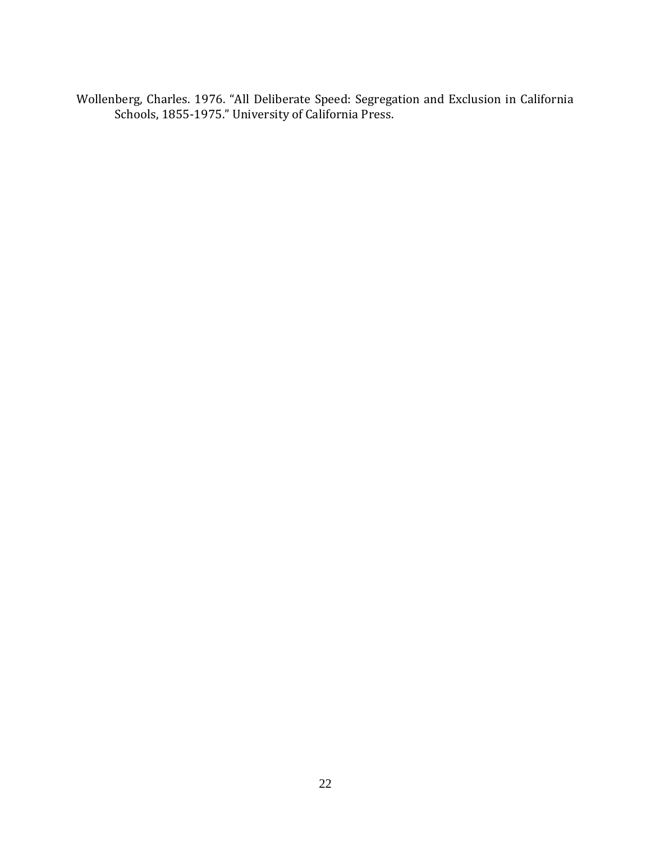Wollenberg, Charles. 1976. "All Deliberate Speed: Segregation and Exclusion in California Schools, 1855-1975." University of California Press.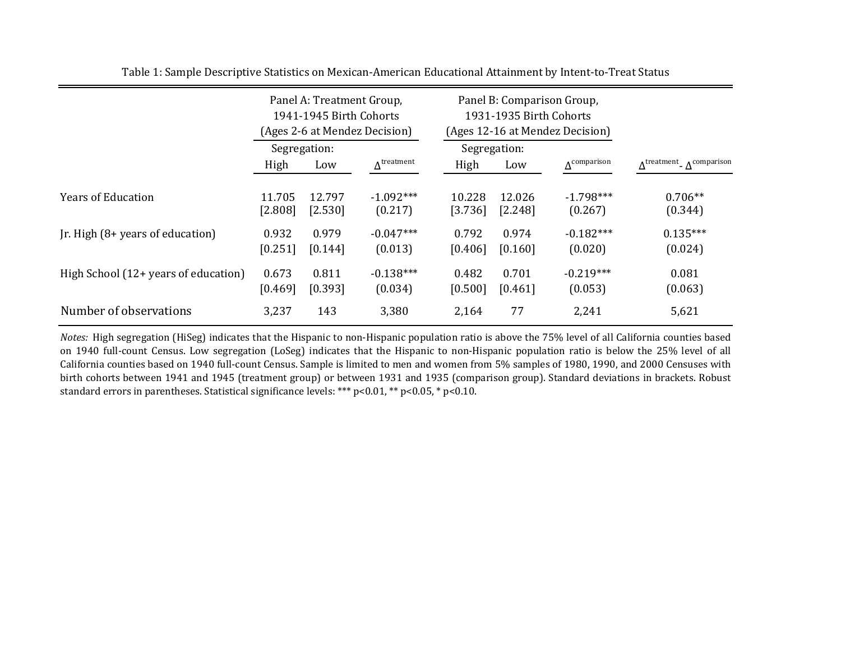|                                      |                   | Panel A: Treatment Group,<br>1941-1945 Birth Cohorts | (Ages 2-6 at Mendez Decision) |                     | Panel B: Comparison Group,<br>1931-1935 Birth Cohorts | (Ages 12-16 at Mendez Decision) |                                                            |
|--------------------------------------|-------------------|------------------------------------------------------|-------------------------------|---------------------|-------------------------------------------------------|---------------------------------|------------------------------------------------------------|
|                                      | Segregation:      |                                                      |                               |                     | Segregation:                                          |                                 |                                                            |
|                                      | High              | Low                                                  | $\Delta^{\text{treatment}}$   | High                | Low                                                   | $\Delta^{\rm comparison}$       | $\Lambda^{\text{treatment}}$ $\Lambda^{\text{comparison}}$ |
| <b>Years of Education</b>            | 11.705<br>[2.808] | 12.797<br>[2.530]                                    | $-1.092***$<br>(0.217)        | 10.228<br>$[3.736]$ | 12.026<br>[2.248]                                     | $-1.798***$<br>(0.267)          | $0.706**$<br>(0.344)                                       |
| Jr. High (8+ years of education)     | 0.932<br>[0.251]  | 0.979<br>[0.144]                                     | $-0.047***$<br>(0.013)        | 0.792<br>[0.406]    | 0.974<br>[0.160]                                      | $-0.182***$<br>(0.020)          | $0.135***$<br>(0.024)                                      |
| High School (12+ years of education) | 0.673<br>[0.469]  | 0.811<br>[0.393]                                     | $-0.138***$<br>(0.034)        | 0.482<br>[0.500]    | 0.701<br>[0.461]                                      | $-0.219***$<br>(0.053)          | 0.081<br>(0.063)                                           |
| Number of observations               | 3,237             | 143                                                  | 3,380                         | 2,164               | 77                                                    | 2,241                           | 5,621                                                      |

Table 1: Sample Descriptive Statistics on Mexican-American Educational Attainment by Intent-to-Treat Status

*Notes:* High segregation (HiSeg) indicates that the Hispanic to non-Hispanic population ratio is above the 75% level of all California counties based on 1940 full-count Census. Low segregation (LoSeg) indicates that the Hispanic to non-Hispanic population ratio is below the 25% level of all California counties based on 1940 full-count Census. Sample is limited to men and women from 5% samples of 1980, 1990, and 2000 Censuses with birth cohorts between 1941 and 1945 (treatment group) or between 1931 and 1935 (comparison group). Standard deviations in brackets. Robust standard errors in parentheses. Statistical significance levels: \*\*\* p<0.01, \*\* p<0.05, \* p<0.10.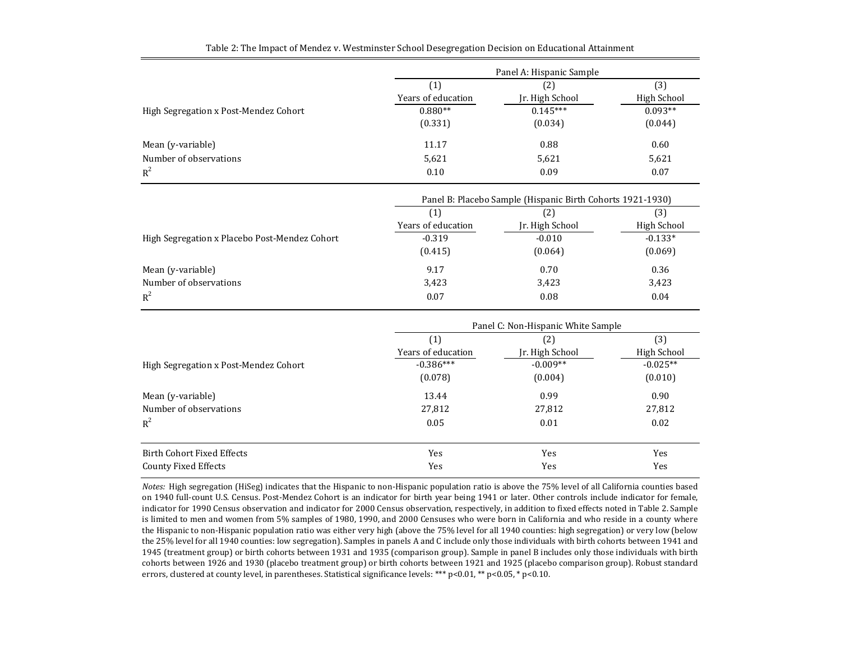|                                       | Panel A: Hispanic Sample |                 |             |
|---------------------------------------|--------------------------|-----------------|-------------|
|                                       | $\left( 1\right)$        | (2)             | (3)         |
|                                       | Years of education       | Jr. High School | High School |
| High Segregation x Post-Mendez Cohort | $0.880**$                | $0.145***$      | $0.093**$   |
|                                       | (0.331)                  | (0.034)         | (0.044)     |
| Mean (y-variable)                     | 11.17                    | 0.88            | 0.60        |
| Number of observations                | 5,621                    | 5,621           | 5,621       |
| $R^2$                                 | 0.10                     | 0.09            | 0.07        |

| Table 2: The Impact of Mendez v. Westminster School Desegregation Decision on Educational Attainment |
|------------------------------------------------------------------------------------------------------|
|                                                                                                      |

|                                               | Panel B: Placebo Sample (Hispanic Birth Cohorts 1921-1930) |                 |             |  |
|-----------------------------------------------|------------------------------------------------------------|-----------------|-------------|--|
|                                               |                                                            | [2]             | (3)         |  |
|                                               | Years of education                                         | Jr. High School | High School |  |
| High Segregation x Placebo Post-Mendez Cohort | $-0.319$                                                   | $-0.010$        | $-0.133*$   |  |
|                                               | (0.415)                                                    | (0.064)         | (0.069)     |  |
| Mean (y-variable)                             | 9.17                                                       | 0.70            | 0.36        |  |
| Number of observations                        | 3,423                                                      | 3,423           | 3,423       |  |
| $R^2$                                         | 0.07                                                       | 0.08            | 0.04        |  |

|                                       | Panel C: Non-Hispanic White Sample |                 |             |
|---------------------------------------|------------------------------------|-----------------|-------------|
|                                       | (1)                                | (2)             | (3)         |
|                                       | Years of education                 | Jr. High School | High School |
| High Segregation x Post-Mendez Cohort | $-0.386***$                        | $-0.009**$      | $-0.025**$  |
|                                       | (0.078)                            | (0.004)         | (0.010)     |
| Mean (y-variable)                     | 13.44                              | 0.99            | 0.90        |
| Number of observations                | 27,812                             | 27,812          | 27,812      |
| $R^2$                                 | 0.05                               | 0.01            | 0.02        |
| Birth Cohort Fixed Effects            | Yes                                | Yes             | Yes         |
| <b>County Fixed Effects</b>           | Yes                                | Yes             | Yes         |

*Notes:* High segregation (HiSeg) indicates that the Hispanic to non-Hispanic population ratio is above the 75% level of all California counties based on 1940 full-count U.S. Census. Post-Mendez Cohort is an indicator for birth year being 1941 or later. Other controls include indicator for female, indicator for 1990 Census observation and indicator for 2000 Census observation, respectively, in addition to fixed effects noted in Table 2. Sample is limited to men and women from 5% samples of 1980, 1990, and 2000 Censuses who were born in California and who reside in a county where the Hispanic to non-Hispanic population ratio was either very high (above the 75% level for all 1940 counties: high segregation) or very low (below the 25% level for all 1940 counties: low segregation). Samples in panels A and C include only those individuals with birth cohorts between 1941 and 1945 (treatment group) or birth cohorts between 1931 and 1935 (comparison group). Sample in panel B includes only those individuals with birth cohorts between 1926 and 1930 (placebo treatment group) or birth cohorts between 1921 and 1925 (placebo comparison group). Robust standard errors, clustered at county level, in parentheses. Statistical significance levels: \*\*\* p<0.01, \*\* p<0.05, \* p<0.10.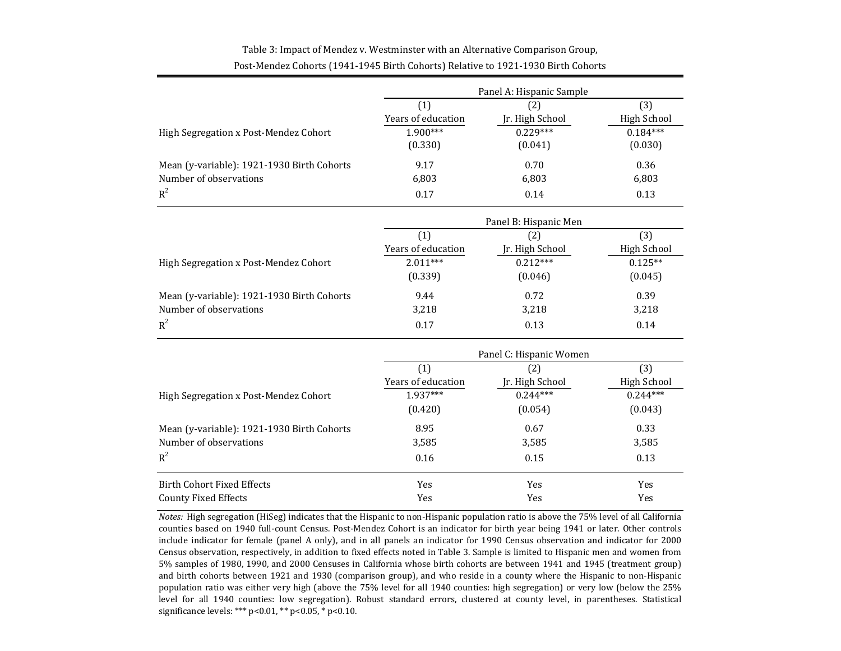#### Table 3: Impact of Mendez v. Westminster with an Alternative Comparison Group, Post-Mendez Cohorts (1941-1945 Birth Cohorts) Relative to 1921-1930 Birth Cohorts

|                                            | Panel A: Hispanic Sample |                         |                    |  |
|--------------------------------------------|--------------------------|-------------------------|--------------------|--|
|                                            | (1)                      | (2)                     | (3)                |  |
|                                            | Years of education       | Jr. High School         | High School        |  |
| High Segregation x Post-Mendez Cohort      | 1.900***                 | $0.229***$              | $0.184***$         |  |
|                                            | (0.330)                  | (0.041)                 | (0.030)            |  |
| Mean (y-variable): 1921-1930 Birth Cohorts | 9.17                     | 0.70                    | 0.36               |  |
| Number of observations                     | 6,803                    | 6,803                   | 6,803              |  |
| $R^2$                                      | 0.17                     | 0.14                    | 0.13               |  |
|                                            |                          | Panel B: Hispanic Men   |                    |  |
|                                            | (1)                      | (2)                     | (3)                |  |
|                                            | Years of education       | Jr. High School         | High School        |  |
| High Segregation x Post-Mendez Cohort      | $2.011***$               | $0.212***$              | $0.125**$          |  |
|                                            | (0.339)                  | (0.046)                 | (0.045)            |  |
| Mean (y-variable): 1921-1930 Birth Cohorts | 9.44                     | 0.72                    | 0.39               |  |
| Number of observations                     | 3,218                    | 3,218                   | 3,218              |  |
| $R^2$                                      | 0.17                     | 0.13                    | 0.14               |  |
|                                            |                          | Panel C: Hispanic Women |                    |  |
|                                            | (1)                      | (2)                     | (3)                |  |
|                                            | Years of education       | Jr. High School         | <b>High School</b> |  |
| High Segregation x Post-Mendez Cohort      | 1.937***                 | $0.244***$              | $0.244***$         |  |
|                                            | (0.420)                  | (0.054)                 | (0.043)            |  |
| Mean (y-variable): 1921-1930 Birth Cohorts | 8.95                     | 0.67                    | 0.33               |  |
| Number of observations                     | 3,585                    | 3,585                   | 3,585              |  |
| $R^2$                                      | 0.16                     | 0.15                    | 0.13               |  |
| <b>Birth Cohort Fixed Effects</b>          | Yes                      | Yes                     | Yes                |  |
| <b>County Fixed Effects</b>                | Yes                      | Yes                     | Yes                |  |

*Notes:* High segregation (HiSeg) indicates that the Hispanic to non-Hispanic population ratio is above the 75% level of all California counties based on 1940 full-count Census. Post-Mendez Cohort is an indicator for birth year being 1941 or later. Other controls include indicator for female (panel A only), and in all panels an indicator for 1990 Census observation and indicator for 2000 Census observation, respectively, in addition to fixed effects noted in Table 3. Sample is limited to Hispanic men and women from 5% samples of 1980, 1990, and 2000 Censuses in California whose birth cohorts are between 1941 and 1945 (treatment group) and birth cohorts between 1921 and 1930 (comparison group), and who reside in a county where the Hispanic to non-Hispanic population ratio was either very high (above the 75% level for all 1940 counties: high segregation) or very low (below the 25% level for all 1940 counties: low segregation). Robust standard errors, clustered at county level, in parentheses. Statistical significance levels: \*\*\* p<0.01, \*\* p<0.05, \* p<0.10.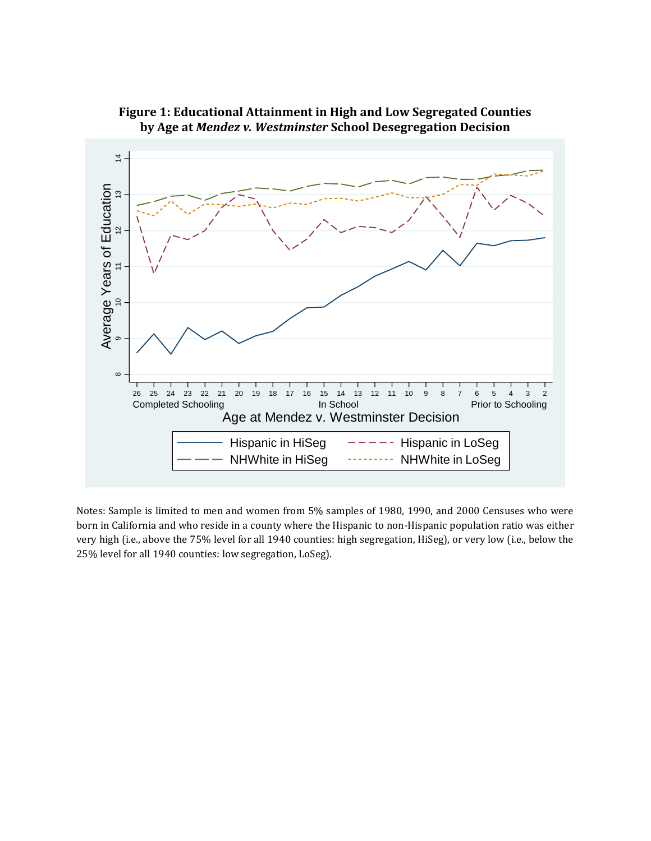

**Figure 1: Educational Attainment in High and Low Segregated Counties by Age at** *Mendez v. Westminster* **School Desegregation Decision**

Notes: Sample is limited to men and women from 5% samples of 1980, 1990, and 2000 Censuses who were born in California and who reside in a county where the Hispanic to non-Hispanic population ratio was either very high (i.e., above the 75% level for all 1940 counties: high segregation, HiSeg), or very low (i.e., below the 25% level for all 1940 counties: low segregation, LoSeg).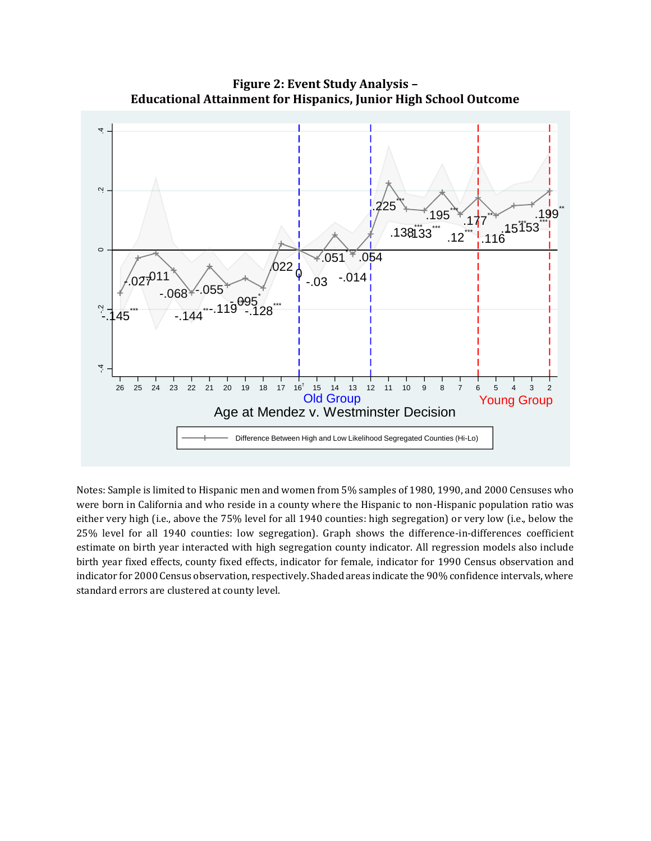

**Figure 2: Event Study Analysis – Educational Attainment for Hispanics, Junior High School Outcome**

Notes: Sample is limited to Hispanic men and women from 5% samples of 1980, 1990, and 2000 Censuses who were born in California and who reside in a county where the Hispanic to non-Hispanic population ratio was either very high (i.e., above the 75% level for all 1940 counties: high segregation) or very low (i.e., below the 25% level for all 1940 counties: low segregation). Graph shows the difference-in-differences coefficient estimate on birth year interacted with high segregation county indicator. All regression models also include birth year fixed effects, county fixed effects, indicator for female, indicator for 1990 Census observation and indicator for 2000 Census observation, respectively. Shaded areas indicate the 90% confidence intervals, where standard errors are clustered at county level.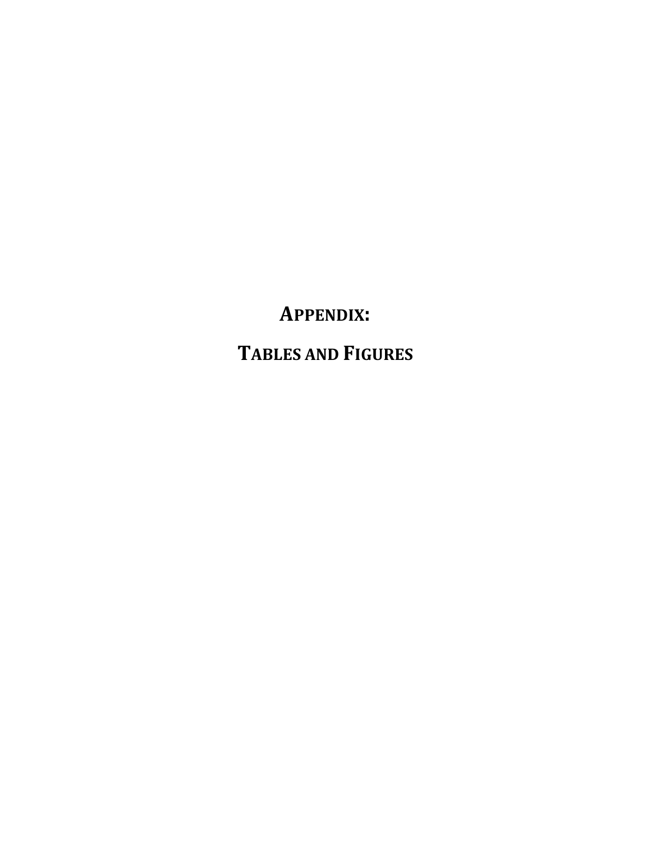**APPENDIX: TABLES AND FIGURES**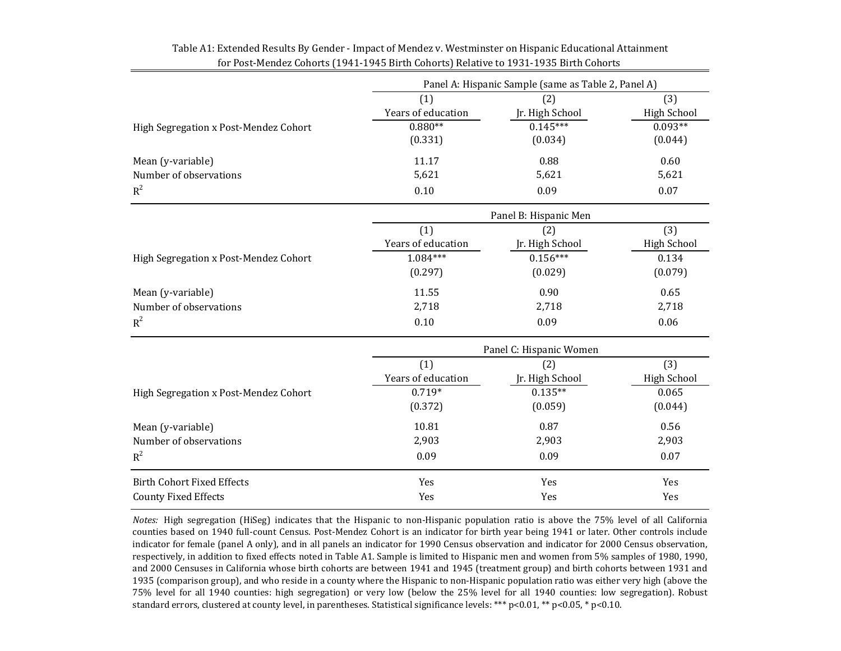|                                       | Panel A: Hispanic Sample (same as Table 2, Panel A) |                         |                    |  |  |
|---------------------------------------|-----------------------------------------------------|-------------------------|--------------------|--|--|
|                                       | (1)                                                 | (2)                     | (3)                |  |  |
|                                       | Years of education                                  | Jr. High School         | <b>High School</b> |  |  |
| High Segregation x Post-Mendez Cohort | $0.880**$                                           | $0.145***$              | $0.093**$          |  |  |
|                                       | (0.331)                                             | (0.034)                 | (0.044)            |  |  |
| Mean (y-variable)                     | 11.17                                               | 0.88                    | 0.60               |  |  |
| Number of observations                | 5,621                                               | 5,621                   | 5,621              |  |  |
| $R^2$                                 | 0.10                                                | 0.09                    | 0.07               |  |  |
| High Segregation x Post-Mendez Cohort |                                                     | Panel B: Hispanic Men   |                    |  |  |
|                                       | (1)                                                 | (2)                     | (3)                |  |  |
|                                       | Years of education                                  | Jr. High School         | <b>High School</b> |  |  |
|                                       | $1.084***$                                          | $0.156***$              | 0.134              |  |  |
|                                       | (0.297)                                             | (0.029)                 | (0.079)            |  |  |
| Mean (y-variable)                     | 11.55                                               | 0.90                    | 0.65               |  |  |
| Number of observations                | 2,718                                               | 2,718                   | 2,718              |  |  |
| $R^2$                                 | 0.10                                                | 0.09                    | 0.06               |  |  |
|                                       |                                                     | Panel C: Hispanic Women |                    |  |  |
|                                       | (1)                                                 | (2)                     | (3)                |  |  |
|                                       | Years of education                                  | Jr. High School         | <b>High School</b> |  |  |
| High Segregation x Post-Mendez Cohort | $0.719*$                                            | $0.135**$               | 0.065              |  |  |
|                                       | (0.372)                                             | (0.059)                 | (0.044)            |  |  |
| Mean (y-variable)                     | 10.81                                               | 0.87                    | 0.56               |  |  |
| Number of observations                | 2,903                                               | 2,903                   | 2,903              |  |  |
| $R^2$                                 | 0.09                                                | 0.09                    | 0.07               |  |  |
| <b>Birth Cohort Fixed Effects</b>     | Yes                                                 | Yes                     | Yes                |  |  |
| <b>County Fixed Effects</b>           | Yes                                                 | Yes                     | Yes                |  |  |

#### Table A1: Extended Results By Gender - Impact of Mendez v. Westminster on Hispanic Educational Attainment for Post-Mendez Cohorts (1941-1945 Birth Cohorts) Relative to 1931-1935 Birth Cohorts

*Notes:* High segregation (HiSeg) indicates that the Hispanic to non-Hispanic population ratio is above the 75% level of all California counties based on 1940 full-count Census. Post-Mendez Cohort is an indicator for birth year being 1941 or later. Other controls include indicator for female (panel A only), and in all panels an indicator for 1990 Census observation and indicator for 2000 Census observation, respectively, in addition to fixed effects noted in Table A1. Sample is limited to Hispanic men and women from 5% samples of 1980, 1990, and 2000 Censuses in California whose birth cohorts are between 1941 and 1945 (treatment group) and birth cohorts between 1931 and 1935 (comparison group), and who reside in a county where the Hispanic to non-Hispanic population ratio was either very high (above the 75% level for all 1940 counties: high segregation) or very low (below the 25% level for all 1940 counties: low segregation). Robust standard errors, clustered at county level, in parentheses. Statistical significance levels: \*\*\* p<0.01, \*\* p<0.05, \* p<0.10.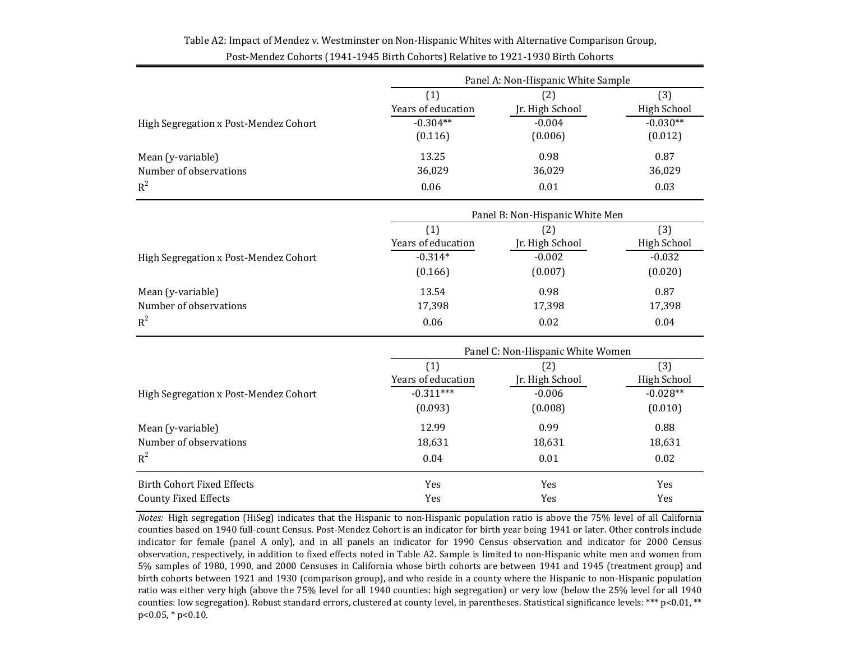|                                       |                                 | Panel A: Non-Hispanic White Sample |             |  |  |
|---------------------------------------|---------------------------------|------------------------------------|-------------|--|--|
|                                       | (1)                             | (2)                                | (3)         |  |  |
|                                       | Years of education              | Jr. High School                    | High School |  |  |
| High Segregation x Post-Mendez Cohort | $-0.304**$                      | $-0.004$                           | $-0.030**$  |  |  |
|                                       | (0.116)                         | (0.006)                            | (0.012)     |  |  |
| Mean (y-variable)                     | 13.25                           | 0.98                               | 0.87        |  |  |
| Number of observations                | 36,029                          | 36,029                             | 36,029      |  |  |
| $R^2$                                 | 0.06                            | 0.01                               | 0.03        |  |  |
|                                       | Panel B: Non-Hispanic White Men |                                    |             |  |  |
|                                       | (1)                             | (2)                                | (3)         |  |  |
|                                       | Years of education              | Ir. High School                    | High School |  |  |

## Table A2: Impact of Mendez v. Westminster on Non-Hispanic Whites with Alternative Comparison Group, Post-Mendez Cohorts (1941-1945 Birth Cohorts) Relative to 1921-1930 Birth Cohorts

|                                       | Panel B: Non-Hispanic White Men |                 |             |  |
|---------------------------------------|---------------------------------|-----------------|-------------|--|
|                                       | (1)                             | (2)             | (3)         |  |
|                                       | Years of education              | Jr. High School | High School |  |
| High Segregation x Post-Mendez Cohort | $-0.314*$                       | $-0.002$        | $-0.032$    |  |
|                                       | (0.166)                         | (0.007)         | (0.020)     |  |
| Mean (y-variable)                     | 13.54                           | 0.98            | 0.87        |  |
| Number of observations                | 17,398                          | 17,398          | 17,398      |  |
| $R^2$                                 | 0.06                            | 0.02            | 0.04        |  |

|                                       | Panel C: Non-Hispanic White Women |                 |             |
|---------------------------------------|-----------------------------------|-----------------|-------------|
|                                       | (1)                               | (2)             | (3)         |
|                                       | Years of education                | Jr. High School | High School |
| High Segregation x Post-Mendez Cohort | $-0.311***$                       | $-0.006$        | $-0.028**$  |
|                                       | (0.093)                           | (0.008)         | (0.010)     |
| Mean (y-variable)                     | 12.99                             | 0.99            | 0.88        |
| Number of observations                | 18,631                            | 18,631          | 18,631      |
| $R^2$                                 | 0.04                              | 0.01            | 0.02        |
| <b>Birth Cohort Fixed Effects</b>     | Yes                               | Yes             | Yes         |
| <b>County Fixed Effects</b>           | Yes                               | Yes             | Yes         |

*Notes:* High segregation (HiSeg) indicates that the Hispanic to non-Hispanic population ratio is above the 75% level of all California counties based on 1940 full-count Census. Post-Mendez Cohort is an indicator for birth year being 1941 or later. Other controls include indicator for female (panel A only), and in all panels an indicator for 1990 Census observation and indicator for 2000 Census observation, respectively, in addition to fixed effects noted in Table A2. Sample is limited to non-Hispanic white men and women from 5% samples of 1980, 1990, and 2000 Censuses in California whose birth cohorts are between 1941 and 1945 (treatment group) and birth cohorts between 1921 and 1930 (comparison group), and who reside in a county where the Hispanic to non-Hispanic population ratio was either very high (above the 75% level for all 1940 counties: high segregation) or very low (below the 25% level for all 1940 counties: low segregation). Robust standard errors, clustered at county level, in parentheses. Statistical significance levels: \*\*\* p<0.01, \*\* p<0.05, \* p<0.10.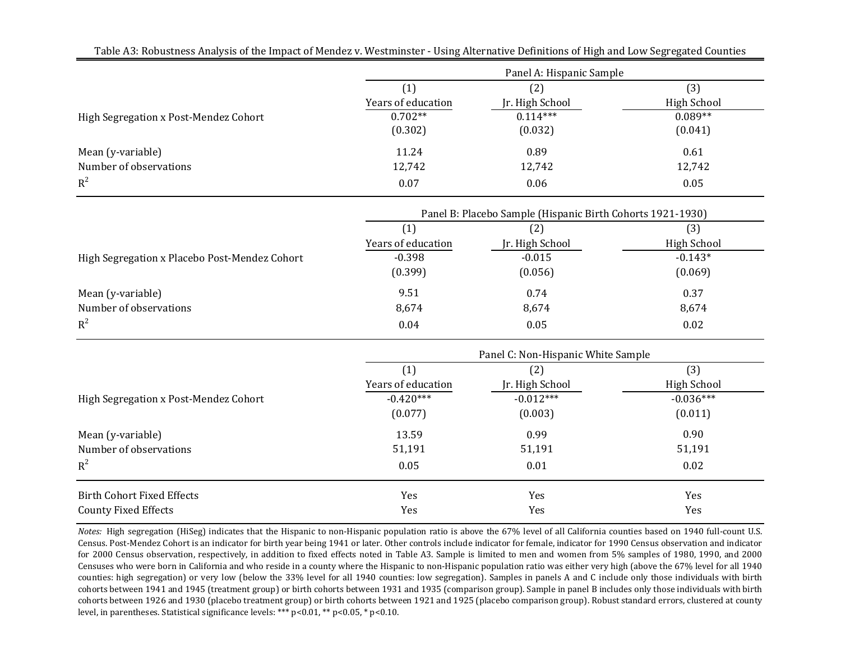| Table A3: Robustness Analysis of the Impact of Mendez v. Westminster - Using Alternative Definitions of High and Low Segregated Counties |                    | Panel A: Hispanic Sample                                   |                    |
|------------------------------------------------------------------------------------------------------------------------------------------|--------------------|------------------------------------------------------------|--------------------|
|                                                                                                                                          | (1)                | (2)                                                        | (3)                |
|                                                                                                                                          | Years of education | Jr. High School                                            | <b>High School</b> |
| High Segregation x Post-Mendez Cohort                                                                                                    | $0.702**$          | $0.114***$                                                 | $0.089**$          |
|                                                                                                                                          | (0.302)            | (0.032)                                                    | (0.041)            |
| Mean (y-variable)                                                                                                                        | 11.24              | 0.89                                                       | 0.61               |
| Number of observations                                                                                                                   | 12,742             | 12,742                                                     | 12,742             |
| $R^2$                                                                                                                                    | 0.07               | 0.06                                                       | 0.05               |
|                                                                                                                                          |                    | Panel B: Placebo Sample (Hispanic Birth Cohorts 1921-1930) |                    |
|                                                                                                                                          | (1)                | (2)                                                        | (3)                |
|                                                                                                                                          | Years of education | Jr. High School                                            | <b>High School</b> |
| High Segregation x Placebo Post-Mendez Cohort                                                                                            | $-0.398$           | $-0.015$                                                   | $-0.143*$          |
|                                                                                                                                          | (0.399)            | (0.056)                                                    | (0.069)            |
| Mean (y-variable)                                                                                                                        | 9.51               | 0.74                                                       | 0.37               |
| Number of observations                                                                                                                   | 8,674              | 8,674                                                      | 8,674              |
| $R^2$                                                                                                                                    | 0.04               | 0.05                                                       | 0.02               |
|                                                                                                                                          |                    | Panel C: Non-Hispanic White Sample                         |                    |
|                                                                                                                                          | (1)                | (2)                                                        | (3)                |
|                                                                                                                                          | Years of education | Jr. High School                                            | <b>High School</b> |
| High Segregation x Post-Mendez Cohort                                                                                                    | $-0.420***$        | $-0.012***$                                                | $-0.036***$        |
|                                                                                                                                          | (0.077)            | (0.003)                                                    | (0.011)            |
| Mean (y-variable)                                                                                                                        | 13.59              | 0.99                                                       | 0.90               |
| Number of observations                                                                                                                   | 51,191             | 51,191                                                     | 51,191             |
| $R^2$                                                                                                                                    | 0.05               | 0.01                                                       | 0.02               |
| <b>Birth Cohort Fixed Effects</b>                                                                                                        | Yes                | Yes                                                        | Yes                |
| <b>County Fixed Effects</b>                                                                                                              | Yes                | Yes                                                        | Yes                |

Table A3: Robustness Analysis of the Impact of Mendez v. Westminster - Using Alternative Definitions of High and Low Segregated Counties

*Notes:* High segregation (HiSeg) indicates that the Hispanic to non-Hispanic population ratio is above the 67% level of all California counties based on 1940 full-count U.S. Census. Post-Mendez Cohort is an indicator for birth year being 1941 or later. Other controls include indicator for female, indicator for 1990 Census observation and indicator for 2000 Census observation, respectively, in addition to fixed effects noted in Table A3. Sample is limited to men and women from 5% samples of 1980, 1990, and 2000 Censuses who were born in California and who reside in a county where the Hispanic to non-Hispanic population ratio was either very high (above the 67% level for all 1940 counties: high segregation) or very low (below the 33% level for all 1940 counties: low segregation). Samples in panels A and C include only those individuals with birth cohorts between 1941 and 1945 (treatment group) or birth cohorts between 1931 and 1935 (comparison group). Sample in panel B includes only those individuals with birth cohorts between 1926 and 1930 (placebo treatment group) or birth cohorts between 1921 and 1925 (placebo comparison group). Robust standard errors, clustered at county level, in parentheses. Statistical significance levels: \*\*\*  $p<0.01$ , \*\*  $p<0.05$ , \*  $p<0.10$ .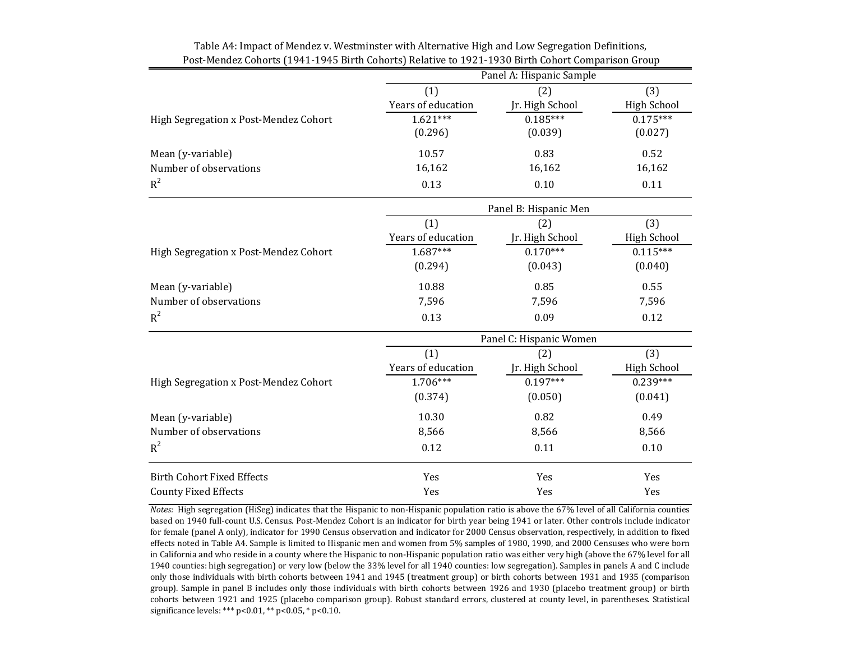|                                       | Panel A: Hispanic Sample |                         |                    |  |
|---------------------------------------|--------------------------|-------------------------|--------------------|--|
|                                       | (1)                      | (2)                     | (3)                |  |
|                                       | Years of education       | Jr. High School         | <b>High School</b> |  |
| High Segregation x Post-Mendez Cohort | $1.621***$               | $0.185***$              | $0.175***$         |  |
|                                       | (0.296)                  | (0.039)                 | (0.027)            |  |
| Mean (y-variable)                     | 10.57                    | 0.83                    | 0.52               |  |
| Number of observations                | 16,162                   | 16,162                  | 16,162             |  |
| $R^2$                                 | 0.13                     | 0.10                    | 0.11               |  |
|                                       |                          | Panel B: Hispanic Men   |                    |  |
|                                       | (1)                      | (2)                     | (3)                |  |
|                                       | Years of education       | Jr. High School         | <b>High School</b> |  |
| High Segregation x Post-Mendez Cohort | $1.687***$               | $0.170***$              | $0.115***$         |  |
|                                       | (0.294)                  | (0.043)                 | (0.040)            |  |
| Mean (y-variable)                     | 10.88                    | 0.85                    | 0.55               |  |
| Number of observations                | 7,596                    | 7,596                   | 7,596              |  |
| $R^2$                                 | 0.13                     | 0.09                    | 0.12               |  |
|                                       |                          | Panel C: Hispanic Women |                    |  |
|                                       | (1)                      | (2)                     | (3)                |  |
|                                       | Years of education       | Jr. High School         | <b>High School</b> |  |
| High Segregation x Post-Mendez Cohort | 1.706***                 | $0.197***$              | $0.239***$         |  |
|                                       | (0.374)                  | (0.050)                 | (0.041)            |  |
| Mean (y-variable)                     | 10.30                    | 0.82                    | 0.49               |  |
| Number of observations                | 8,566                    | 8,566                   | 8,566              |  |
| $R^2$                                 | 0.12                     | 0.11                    | 0.10               |  |
| <b>Birth Cohort Fixed Effects</b>     | Yes                      | Yes                     | Yes                |  |
| <b>County Fixed Effects</b>           | Yes                      | Yes                     | Yes                |  |

Table A4: Impact of Mendez v. Westminster with Alternative High and Low Segregation Definitions, Post-Mendez Cohorts (1941-1945 Birth Cohorts) Relative to 1921-1930 Birth Cohort Comparison Group

*Notes:* High segregation (HiSeg) indicates that the Hispanic to non-Hispanic population ratio is above the 67% level of all California counties based on 1940 full-count U.S. Census. Post-Mendez Cohort is an indicator for birth year being 1941 or later. Other controls include indicator for female (panel A only), indicator for 1990 Census observation and indicator for 2000 Census observation, respectively, in addition to fixed effects noted in Table A4. Sample is limited to Hispanic men and women from 5% samples of 1980, 1990, and 2000 Censuses who were born in California and who reside in a county where the Hispanic to non-Hispanic population ratio was either very high (above the 67% level for all 1940 counties: high segregation) or very low (below the 33% level for all 1940 counties: low segregation). Samples in panels A and C include only those individuals with birth cohorts between 1941 and 1945 (treatment group) or birth cohorts between 1931 and 1935 (comparison group). Sample in panel B includes only those individuals with birth cohorts between 1926 and 1930 (placebo treatment group) or birth cohorts between 1921 and 1925 (placebo comparison group). Robust standard errors, clustered at county level, in parentheses. Statistical significance levels: \*\*\* p<0.01, \*\* p<0.05, \* p<0.10.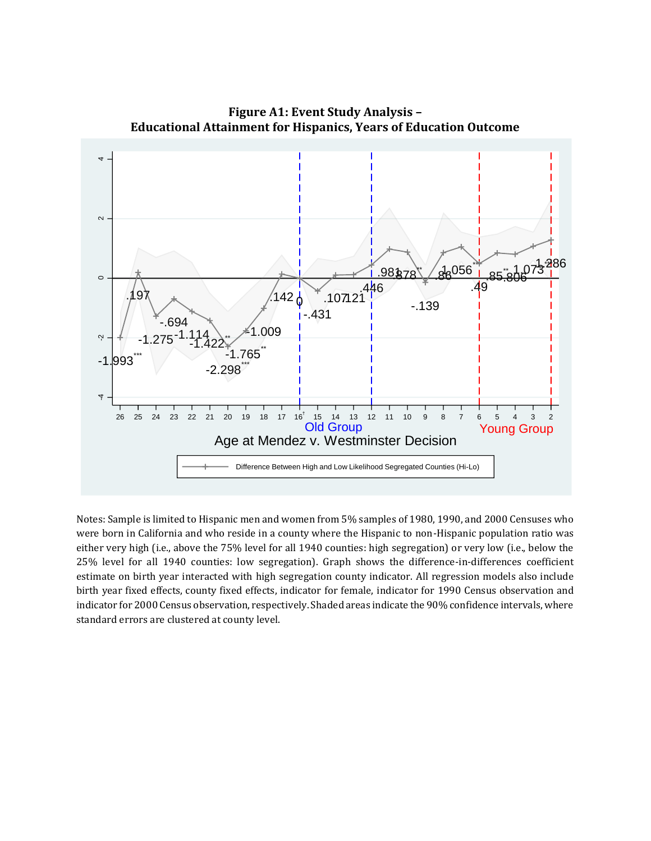

**Figure A1: Event Study Analysis – Educational Attainment for Hispanics, Years of Education Outcome**

Notes: Sample is limited to Hispanic men and women from 5% samples of 1980, 1990, and 2000 Censuses who were born in California and who reside in a county where the Hispanic to non-Hispanic population ratio was either very high (i.e., above the 75% level for all 1940 counties: high segregation) or very low (i.e., below the 25% level for all 1940 counties: low segregation). Graph shows the difference-in-differences coefficient estimate on birth year interacted with high segregation county indicator. All regression models also include birth year fixed effects, county fixed effects, indicator for female, indicator for 1990 Census observation and indicator for 2000 Census observation, respectively. Shaded areas indicate the 90% confidence intervals, where standard errors are clustered at county level.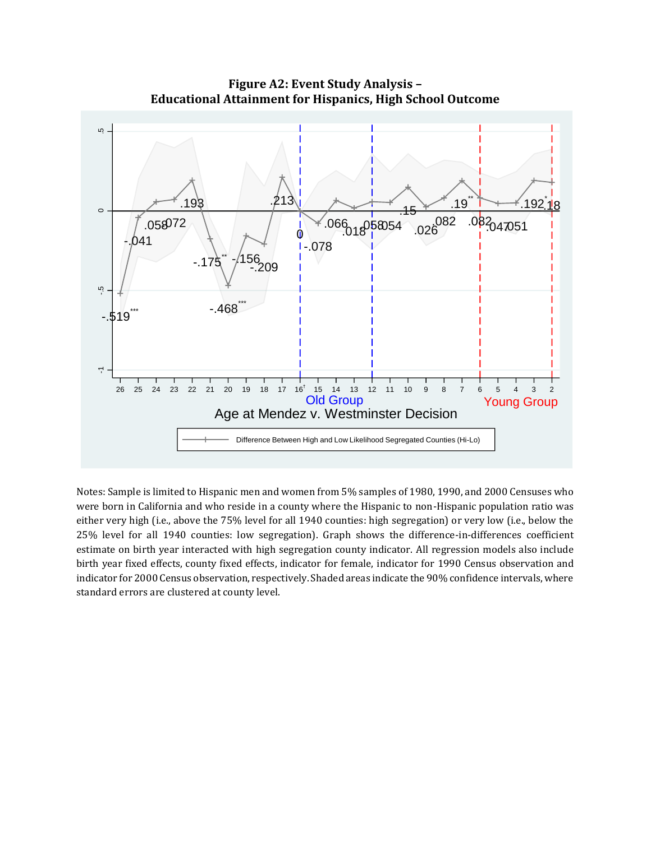

**Figure A2: Event Study Analysis – Educational Attainment for Hispanics, High School Outcome**

Notes: Sample is limited to Hispanic men and women from 5% samples of 1980, 1990, and 2000 Censuses who were born in California and who reside in a county where the Hispanic to non-Hispanic population ratio was either very high (i.e., above the 75% level for all 1940 counties: high segregation) or very low (i.e., below the 25% level for all 1940 counties: low segregation). Graph shows the difference-in-differences coefficient estimate on birth year interacted with high segregation county indicator. All regression models also include birth year fixed effects, county fixed effects, indicator for female, indicator for 1990 Census observation and indicator for 2000 Census observation, respectively. Shaded areas indicate the 90% confidence intervals, where standard errors are clustered at county level.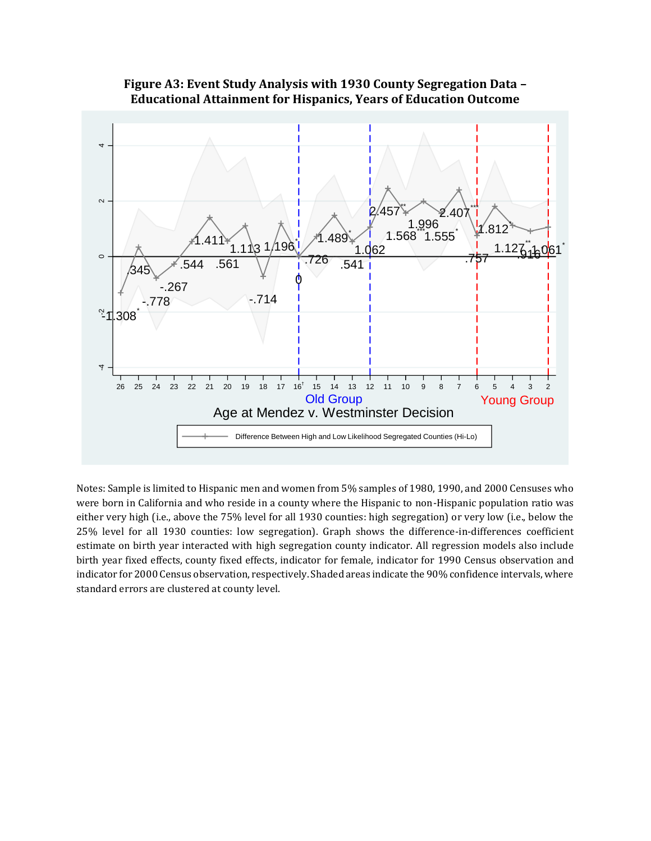

**Figure A3: Event Study Analysis with 1930 County Segregation Data – Educational Attainment for Hispanics, Years of Education Outcome**

Notes: Sample is limited to Hispanic men and women from 5% samples of 1980, 1990, and 2000 Censuses who were born in California and who reside in a county where the Hispanic to non-Hispanic population ratio was either very high (i.e., above the 75% level for all 1930 counties: high segregation) or very low (i.e., below the 25% level for all 1930 counties: low segregation). Graph shows the difference-in-differences coefficient estimate on birth year interacted with high segregation county indicator. All regression models also include birth year fixed effects, county fixed effects, indicator for female, indicator for 1990 Census observation and indicator for 2000 Census observation, respectively. Shaded areas indicate the 90% confidence intervals, where standard errors are clustered at county level.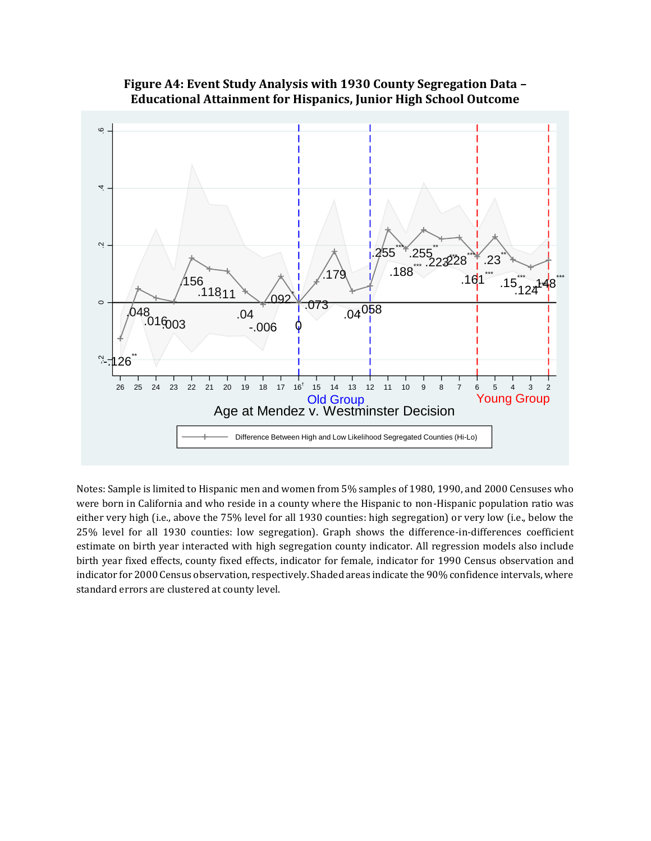

## **Figure A4: Event Study Analysis with 1930 County Segregation Data – Educational Attainment for Hispanics, Junior High School Outcome**

Notes: Sample is limited to Hispanic men and women from 5% samples of 1980, 1990, and 2000 Censuses who were born in California and who reside in a county where the Hispanic to non-Hispanic population ratio was either very high (i.e., above the 75% level for all 1930 counties: high segregation) or very low (i.e., below the 25% level for all 1930 counties: low segregation). Graph shows the difference-in-differences coefficient estimate on birth year interacted with high segregation county indicator. All regression models also include birth year fixed effects, county fixed effects, indicator for female, indicator for 1990 Census observation and indicator for 2000 Census observation, respectively. Shaded areas indicate the 90% confidence intervals, where standard errors are clustered at county level.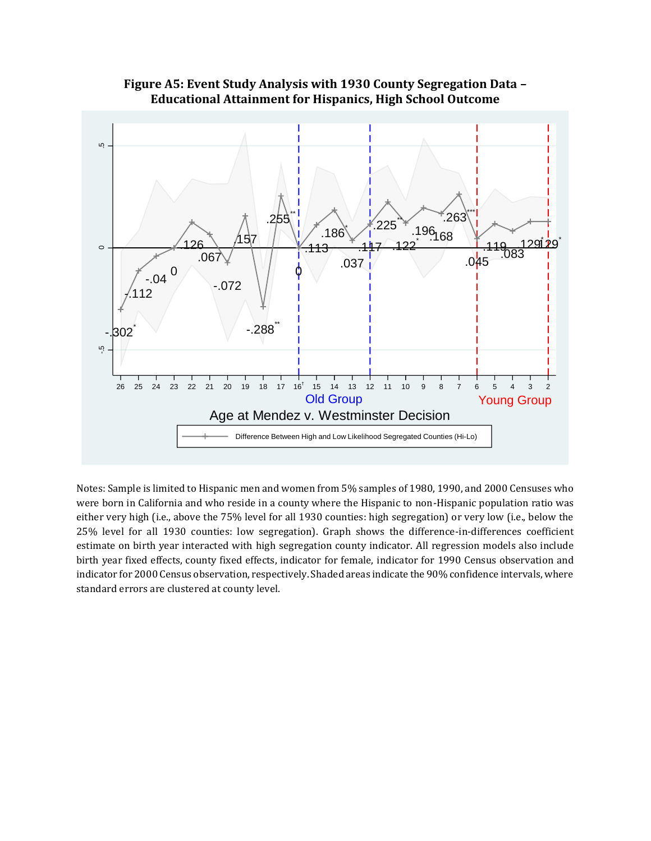

**Figure A5: Event Study Analysis with 1930 County Segregation Data – Educational Attainment for Hispanics, High School Outcome**

Notes: Sample is limited to Hispanic men and women from 5% samples of 1980, 1990, and 2000 Censuses who were born in California and who reside in a county where the Hispanic to non-Hispanic population ratio was either very high (i.e., above the 75% level for all 1930 counties: high segregation) or very low (i.e., below the 25% level for all 1930 counties: low segregation). Graph shows the difference-in-differences coefficient estimate on birth year interacted with high segregation county indicator. All regression models also include birth year fixed effects, county fixed effects, indicator for female, indicator for 1990 Census observation and indicator for 2000 Census observation, respectively. Shaded areas indicate the 90% confidence intervals, where standard errors are clustered at county level.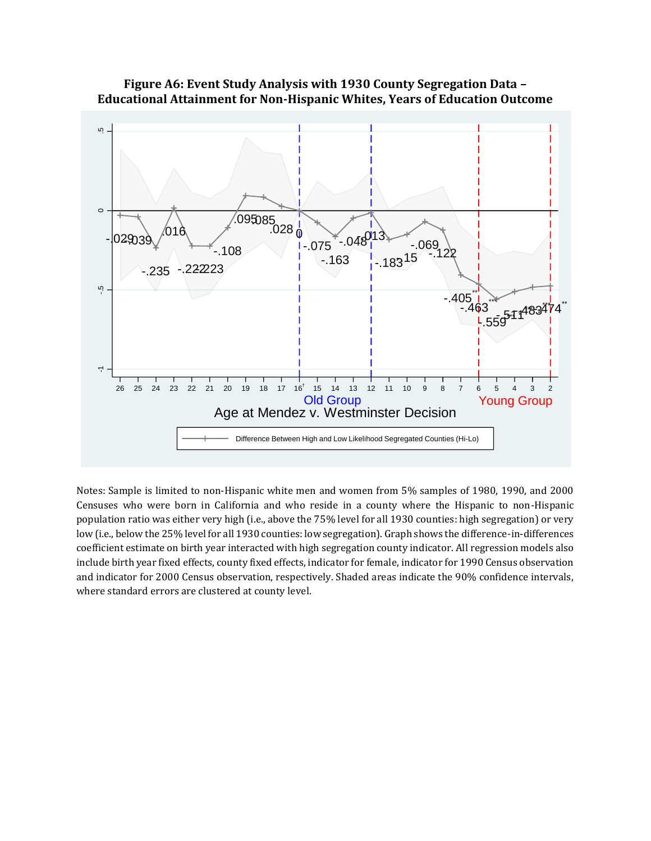

## **Figure A6: Event Study Analysis with 1930 County Segregation Data – Educational Attainment for Non-Hispanic Whites, Years of Education Outcome**

Notes: Sample is limited to non-Hispanic white men and women from 5% samples of 1980, 1990, and 2000 Censuses who were born in California and who reside in a county where the Hispanic to non-Hispanic population ratio was either very high (i.e., above the 75% level for all 1930 counties: high segregation) or very low (i.e., below the 25% level for all 1930 counties: low segregation). Graph shows the difference-in-differences coefficient estimate on birth year interacted with high segregation county indicator. All regression models also include birth year fixed effects, county fixed effects, indicator for female, indicator for 1990 Census observation and indicator for 2000 Census observation, respectively. Shaded areas indicate the 90% confidence intervals, where standard errors are clustered at county level.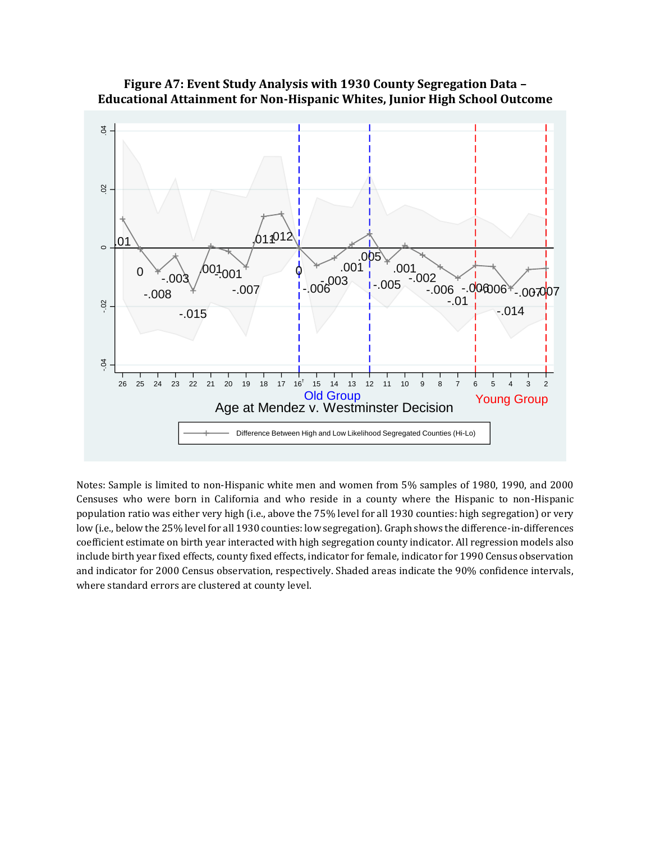

## **Figure A7: Event Study Analysis with 1930 County Segregation Data – Educational Attainment for Non-Hispanic Whites, Junior High School Outcome**

Notes: Sample is limited to non-Hispanic white men and women from 5% samples of 1980, 1990, and 2000 Censuses who were born in California and who reside in a county where the Hispanic to non-Hispanic population ratio was either very high (i.e., above the 75% level for all 1930 counties: high segregation) or very low (i.e., below the 25% level for all 1930 counties: low segregation). Graph shows the difference-in-differences coefficient estimate on birth year interacted with high segregation county indicator. All regression models also include birth year fixed effects, county fixed effects, indicator for female, indicator for 1990 Census observation and indicator for 2000 Census observation, respectively. Shaded areas indicate the 90% confidence intervals, where standard errors are clustered at county level.